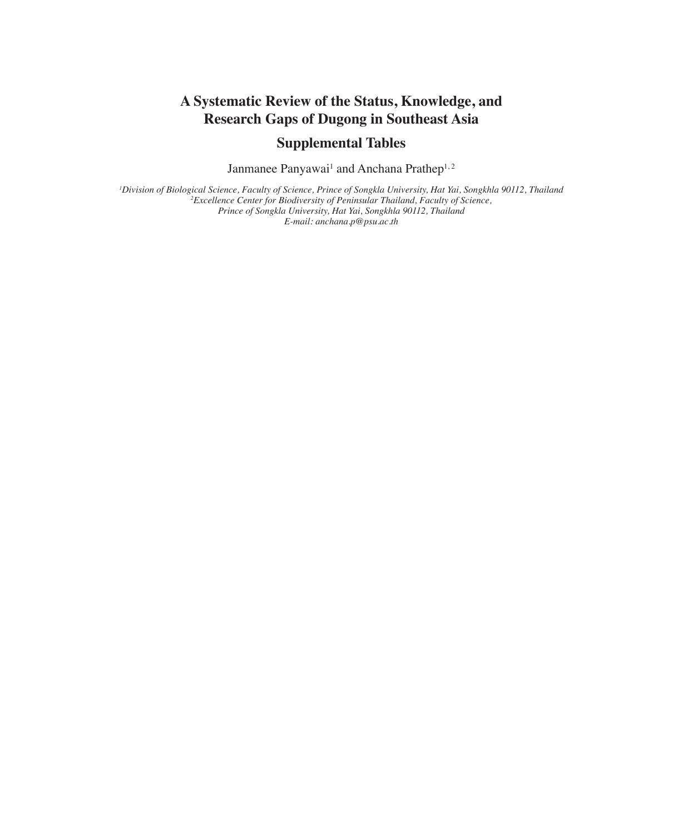# **A Systematic Review of the Status, Knowledge, and Research Gaps of Dugong in Southeast Asia**

# **Supplemental Tables**

Janmanee Panyawai<sup>1</sup> and Anchana Prathep<sup>1,2</sup>

<sup>1</sup>Division of Biological Science, Faculty of Science, Prince of Songkla University, Hat Yai, Songkhla 90112, Thailand<br><sup>2</sup>Excellence Center for Biodiversity of Peninsular Thailand, Faculty of Science, *Prince of Songkla University, Hat Yai, Songkhla 90112, Thailand E-mail: anchana.p@psu.ac.th*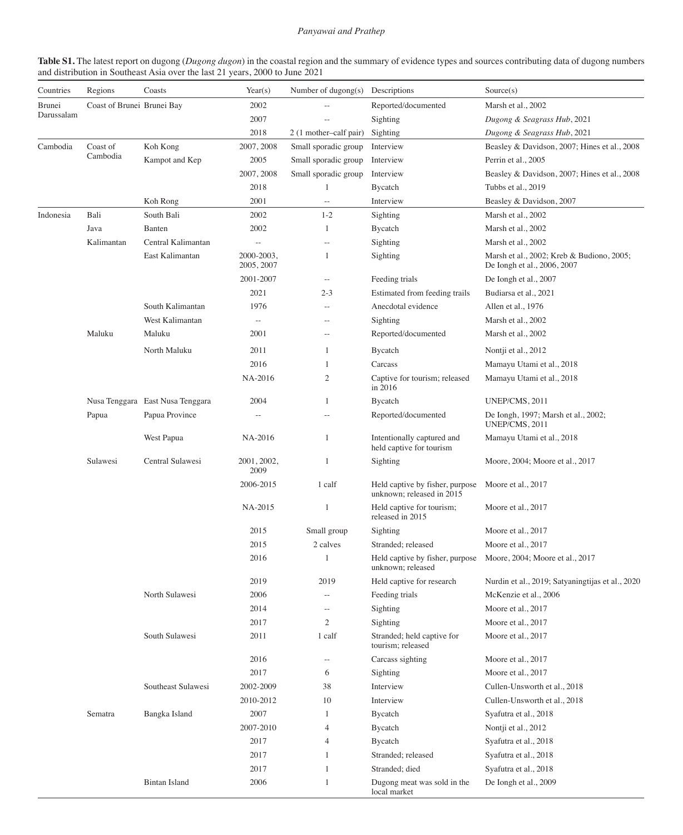**Table S1.** The latest report on dugong (*Dugong dugon*) in the coastal region and the summary of evidence types and sources contributing data of dugong numbers and distribution in Southeast Asia over the last 21 years, 2000 to June 2021

| Countries  | Regions                    | Coasts                           | Year(s)<br>Number of dugong(s) Descriptions |                        |                                                              | Source(s)                                                                |  |
|------------|----------------------------|----------------------------------|---------------------------------------------|------------------------|--------------------------------------------------------------|--------------------------------------------------------------------------|--|
| Brunei     | Coast of Brunei Brunei Bay |                                  | 2002                                        |                        | Reported/documented                                          | Marsh et al., 2002                                                       |  |
| Darussalam |                            |                                  | 2007                                        |                        | Sighting                                                     | Dugong & Seagrass Hub, 2021                                              |  |
|            |                            |                                  | 2018                                        | 2 (1 mother-calf pair) | Sighting                                                     | Dugong & Seagrass Hub, 2021                                              |  |
| Cambodia   | Coast of                   | Koh Kong                         | 2007, 2008                                  | Small sporadic group   | Interview                                                    | Beasley & Davidson, 2007; Hines et al., 2008                             |  |
|            | Cambodia                   | Kampot and Kep                   | 2005                                        | Small sporadic group   | Interview                                                    | Perrin et al., 2005                                                      |  |
|            |                            |                                  | 2007, 2008                                  | Small sporadic group   | Interview                                                    | Beasley & Davidson, 2007; Hines et al., 2008                             |  |
|            |                            |                                  | 2018                                        | $\mathbf{1}$           | Bycatch                                                      | Tubbs et al., 2019                                                       |  |
|            |                            | Koh Rong                         | 2001                                        | ÷÷.                    | Interview                                                    | Beasley & Davidson, 2007                                                 |  |
| Indonesia  | Bali                       | South Bali                       | 2002                                        | $1 - 2$                | Sighting                                                     | Marsh et al., 2002                                                       |  |
|            | Java                       | Banten                           | 2002                                        | 1                      | Bycatch                                                      | Marsh et al., 2002                                                       |  |
|            | Kalimantan                 | Central Kalimantan               | 44                                          | $-$                    | Sighting                                                     | Marsh et al., 2002                                                       |  |
|            |                            | East Kalimantan                  | 2000-2003,<br>2005, 2007                    | 1                      | Sighting                                                     | Marsh et al., 2002; Kreb & Budiono, 2005;<br>De Iongh et al., 2006, 2007 |  |
|            |                            |                                  | 2001-2007                                   | $\rightarrow$          | Feeding trials                                               | De Iongh et al., 2007                                                    |  |
|            |                            |                                  | 2021                                        | $2 - 3$                | Estimated from feeding trails                                | Budiarsa et al., 2021                                                    |  |
|            |                            | South Kalimantan                 | 1976                                        | $-$                    | Anecdotal evidence                                           | Allen et al., 1976                                                       |  |
|            |                            | West Kalimantan                  | $\perp$ .                                   |                        | Sighting                                                     | Marsh et al., 2002                                                       |  |
|            | Maluku                     | Maluku                           | 2001                                        | $\overline{a}$         | Reported/documented                                          | Marsh et al., 2002                                                       |  |
|            |                            | North Maluku                     | 2011                                        | 1                      | Bycatch                                                      | Nontji et al., 2012                                                      |  |
|            |                            |                                  | 2016                                        | 1                      | Carcass                                                      | Mamayu Utami et al., 2018                                                |  |
|            |                            |                                  | NA-2016                                     | $\overline{c}$         | Captive for tourism; released<br>in 2016                     | Mamayu Utami et al., 2018                                                |  |
|            |                            | Nusa Tenggara East Nusa Tenggara | 2004                                        | 1                      | Bycatch                                                      | UNEP/CMS, 2011                                                           |  |
|            | Papua                      | Papua Province                   |                                             |                        | Reported/documented                                          | De Iongh, 1997; Marsh et al., 2002;<br>UNEP/CMS, 2011                    |  |
|            |                            | West Papua                       | NA-2016                                     | $\mathbf{1}$           | Intentionally captured and<br>held captive for tourism       | Mamayu Utami et al., 2018                                                |  |
|            | Sulawesi                   | Central Sulawesi                 | 2001, 2002,<br>2009                         | 1                      | Sighting                                                     | Moore, 2004; Moore et al., 2017                                          |  |
|            |                            |                                  | 2006-2015                                   | 1 calf                 | Held captive by fisher, purpose<br>unknown; released in 2015 | Moore et al., 2017                                                       |  |
|            |                            |                                  | NA-2015                                     | $\mathbf{1}$           | Held captive for tourism;<br>released in 2015                | Moore et al., 2017                                                       |  |
|            |                            |                                  | 2015                                        | Small group            | Sighting                                                     | Moore et al., 2017                                                       |  |
|            |                            |                                  | 2015                                        | 2 calves               | Stranded: released                                           | Moore et al., 2017                                                       |  |
|            |                            |                                  | 2016                                        | $\mathbf{1}$           | unknown: released                                            | Held captive by fisher, purpose Moore, 2004; Moore et al., 2017          |  |
|            |                            |                                  | 2019                                        | 2019                   | Held captive for research                                    | Nurdin et al., 2019; Satyaningtijas et al., 2020                         |  |
|            |                            | North Sulawesi                   | 2006                                        | ÷÷.                    | Feeding trials                                               | McKenzie et al., 2006                                                    |  |
|            |                            |                                  | 2014                                        | $-$                    | Sighting                                                     | Moore et al., 2017                                                       |  |
|            |                            |                                  | 2017                                        | $\overline{c}$         | Sighting                                                     | Moore et al., 2017                                                       |  |
|            |                            | South Sulawesi                   | 2011                                        | 1 calf                 | Stranded; held captive for<br>tourism; released              | Moore et al., 2017                                                       |  |
|            |                            |                                  | 2016                                        | ÷÷.                    | Carcass sighting                                             | Moore et al., 2017                                                       |  |
|            |                            |                                  | 2017                                        | 6                      | Sighting                                                     | Moore et al., 2017                                                       |  |
|            |                            | Southeast Sulawesi               | 2002-2009                                   | 38                     | Interview                                                    | Cullen-Unsworth et al., 2018                                             |  |
|            |                            |                                  | 2010-2012                                   | 10                     | Interview                                                    | Cullen-Unsworth et al., 2018                                             |  |
|            | Sematra                    | Bangka Island                    | 2007                                        | $\mathbf{1}$           | Bycatch                                                      | Syafutra et al., 2018                                                    |  |
|            |                            |                                  | 2007-2010                                   | 4                      | Bycatch                                                      | Nontji et al., 2012                                                      |  |
|            |                            |                                  | 2017                                        | $\overline{4}$         | Bycatch                                                      | Syafutra et al., 2018                                                    |  |
|            |                            |                                  | 2017                                        | 1                      | Stranded; released                                           | Syafutra et al., 2018                                                    |  |
|            |                            |                                  | 2017                                        | 1                      | Stranded; died                                               | Syafutra et al., 2018                                                    |  |
|            |                            | <b>Bintan Island</b>             | 2006                                        | $\mathbf{1}$           | Dugong meat was sold in the<br>local market                  | De Iongh et al., 2009                                                    |  |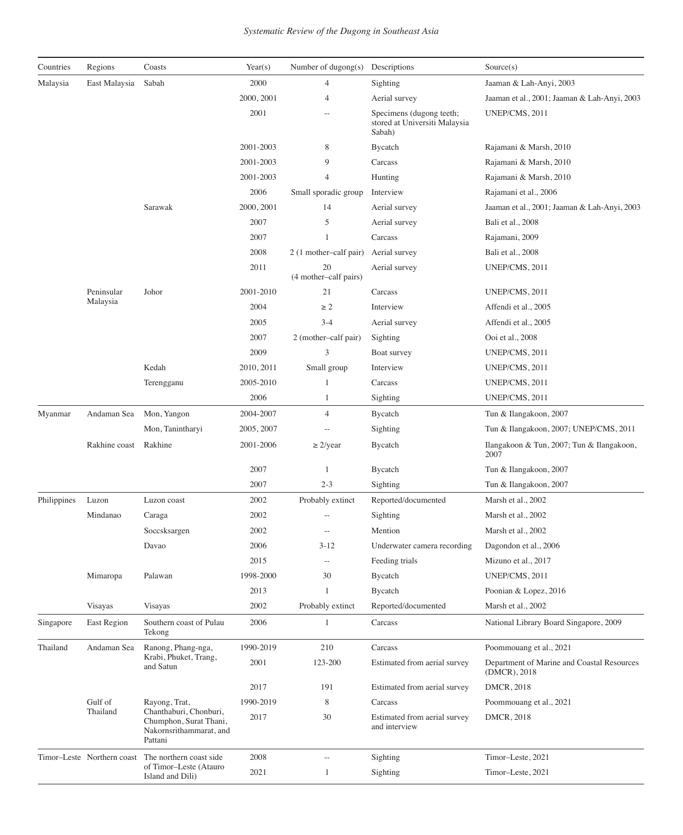| Countries   | Regions                    | Coasts                                                                                 | Year(s)    | Number of dugong(s)         | Descriptions                                                        | Source(s)                                                  |
|-------------|----------------------------|----------------------------------------------------------------------------------------|------------|-----------------------------|---------------------------------------------------------------------|------------------------------------------------------------|
| Malaysia    | East Malaysia              | Sabah                                                                                  | 2000       | $\overline{4}$              | Sighting                                                            | Jaaman & Lah-Anyi, 2003                                    |
|             |                            |                                                                                        | 2000, 2001 | 4                           | Aerial survey                                                       | Jaaman et al., 2001; Jaaman & Lah-Anyi, 2003               |
|             |                            |                                                                                        | 2001       |                             | Specimens (dugong teeth;<br>stored at Universiti Malaysia<br>Sabah) | UNEP/CMS, 2011                                             |
|             |                            |                                                                                        | 2001-2003  | 8                           | Bycatch                                                             | Rajamani & Marsh, 2010                                     |
|             |                            |                                                                                        | 2001-2003  | 9                           | Carcass                                                             | Rajamani & Marsh, 2010                                     |
|             |                            |                                                                                        | 2001-2003  | $\overline{4}$              | Hunting                                                             | Rajamani & Marsh, 2010                                     |
|             |                            |                                                                                        | 2006       | Small sporadic group        | Interview                                                           | Rajamani et al., 2006                                      |
|             |                            | Sarawak                                                                                | 2000, 2001 | 14                          | Aerial survey                                                       | Jaaman et al., 2001; Jaaman & Lah-Anyi, 2003               |
|             |                            |                                                                                        | 2007       | 5                           | Aerial survey                                                       | Bali et al., 2008                                          |
|             |                            |                                                                                        | 2007       | 1                           | Carcass                                                             | Rajamani, 2009                                             |
|             |                            |                                                                                        | 2008       | 2 (1 mother-calf pair)      | Aerial survey                                                       | Bali et al., 2008                                          |
|             |                            |                                                                                        | 2011       | 20<br>(4 mother-calf pairs) | Aerial survey                                                       | UNEP/CMS, 2011                                             |
|             | Peninsular                 | Johor                                                                                  | 2001-2010  | 21                          | Carcass                                                             | UNEP/CMS, 2011                                             |
|             | Malaysia                   |                                                                                        | 2004       | $\geq 2$                    | Interview                                                           | Affendi et al., 2005                                       |
|             |                            |                                                                                        | 2005       | $3 - 4$                     | Aerial survey                                                       | Affendi et al., 2005                                       |
|             |                            |                                                                                        | 2007       | 2 (mother-calf pair)        | Sighting                                                            | Ooi et al., 2008                                           |
|             |                            |                                                                                        | 2009       | 3                           | Boat survey                                                         | UNEP/CMS, 2011                                             |
|             |                            | Kedah                                                                                  | 2010, 2011 | Small group                 | Interview                                                           | UNEP/CMS, 2011                                             |
|             |                            | Terengganu                                                                             | 2005-2010  | 1                           | Carcass                                                             | UNEP/CMS, 2011                                             |
|             |                            |                                                                                        | 2006       | 1                           | Sighting                                                            | UNEP/CMS, 2011                                             |
| Myanmar     | Andaman Sea                | Mon, Yangon                                                                            | 2004-2007  | $\overline{4}$              | Bycatch                                                             | Tun & Ilangakoon, 2007                                     |
|             |                            | Mon, Tanintharyi                                                                       | 2005, 2007 |                             | Sighting                                                            | Tun & Ilangakoon, 2007; UNEP/CMS, 2011                     |
|             | Rakhine coast              | Rakhine                                                                                | 2001-2006  | $\geq$ 2/year               | Bycatch                                                             | Ilangakoon & Tun, 2007; Tun & Ilangakoon,<br>2007          |
|             |                            |                                                                                        | 2007       | -1                          | Bycatch                                                             | Tun & Ilangakoon, 2007                                     |
|             |                            |                                                                                        | 2007       | $2 - 3$                     | Sighting                                                            | Tun & Ilangakoon, 2007                                     |
| Philippines | Luzon                      | Luzon coast                                                                            | 2002       | Probably extinct            | Reported/documented                                                 | Marsh et al., 2002                                         |
|             | Mindanao                   | Caraga                                                                                 | 2002       |                             | Sighting                                                            | Marsh et al., 2002                                         |
|             |                            | Soccsksargen                                                                           | 2002       |                             | Mention                                                             | Marsh et al., 2002                                         |
|             |                            | Davao                                                                                  | 2006       | $3 - 12$                    | Underwater camera recording                                         | Dagondon et al., 2006                                      |
|             |                            |                                                                                        | 2015       | $\sim$ $-$                  | Feeding trials                                                      | Mizuno et al., 2017                                        |
|             | Mimaropa                   | Palawan                                                                                | 1998-2000  | 30                          | Bycatch                                                             | UNEP/CMS, 2011                                             |
|             |                            |                                                                                        | 2013       | 1                           | Bycatch                                                             | Poonian & Lopez, 2016                                      |
|             | Visayas                    | Visayas                                                                                | 2002       | Probably extinct            | Reported/documented                                                 | Marsh et al., 2002                                         |
| Singapore   | East Region                | Southern coast of Pulau<br>Tekong                                                      | 2006       | 1                           | Carcass                                                             | National Library Board Singapore, 2009                     |
| Thailand    | Andaman Sea                | Ranong, Phang-nga,                                                                     | 1990-2019  | 210                         | Carcass                                                             | Poommouang et al., 2021                                    |
|             |                            | Krabi, Phuket, Trang,<br>and Satun                                                     | 2001       | 123-200                     | Estimated from aerial survey                                        | Department of Marine and Coastal Resources<br>(DMCR), 2018 |
|             |                            |                                                                                        | 2017       | 191                         | Estimated from aerial survey                                        | DMCR, 2018                                                 |
|             | Gulf of                    | Rayong, Trat,                                                                          | 1990-2019  | 8                           | Carcass                                                             | Poommouang et al., 2021                                    |
|             | Thailand                   | Chanthaburi, Chonburi,<br>Chumphon, Surat Thani,<br>Nakornsrithammarat, and<br>Pattani | 2017       | 30                          | Estimated from aerial survey<br>and interview                       | DMCR, 2018                                                 |
|             | Timor-Leste Northern coast | The northern coast side                                                                | 2008       |                             | Sighting                                                            | Timor-Leste, 2021                                          |
|             |                            | of Timor-Leste (Atauro<br>Island and Dili)                                             | 2021       | $\mathbf{1}$                | Sighting                                                            | Timor-Leste, 2021                                          |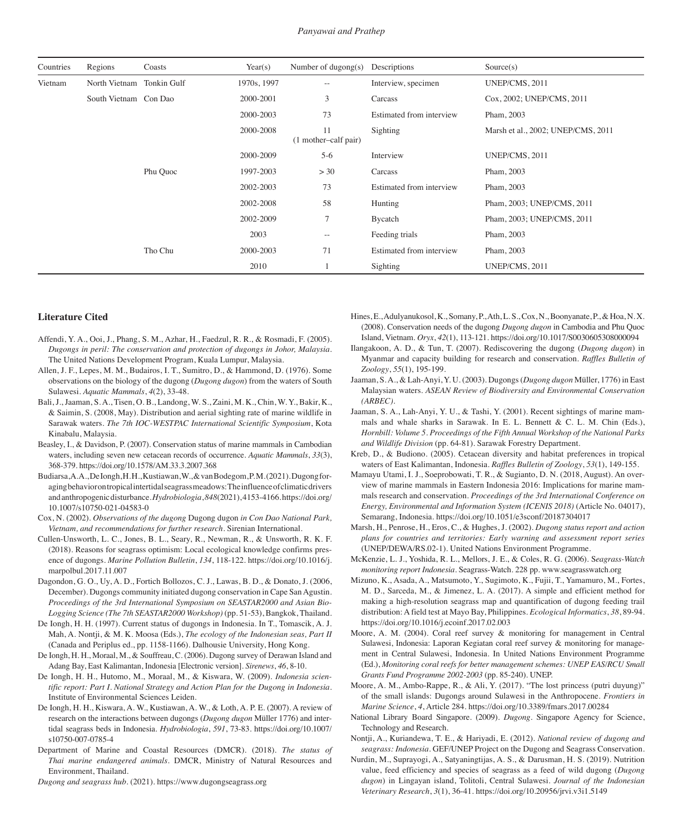| Countries                | Regions               | Coasts      | Year(s)     | Number of dugong(s)        | Descriptions             | Source(s)                          |
|--------------------------|-----------------------|-------------|-------------|----------------------------|--------------------------|------------------------------------|
| Vietnam<br>North Vietnam |                       | Tonkin Gulf | 1970s, 1997 | $\sim$ $-$                 | Interview, specimen      | UNEP/CMS, 2011                     |
|                          | South Vietnam Con Dao |             | 2000-2001   | 3                          | Carcass                  | Cox, 2002; UNEP/CMS, 2011          |
|                          |                       |             | 2000-2003   | 73                         | Estimated from interview | Pham, 2003                         |
|                          |                       |             | 2000-2008   | 11<br>(1 mother-calf pair) | Sighting                 | Marsh et al., 2002; UNEP/CMS, 2011 |
|                          |                       |             | 2000-2009   | $5-6$                      | Interview                | UNEP/CMS, 2011                     |
|                          |                       | Phu Quoc    | 1997-2003   | > 30                       | Carcass                  | Pham, 2003                         |
|                          |                       |             | 2002-2003   | 73                         | Estimated from interview | Pham, 2003                         |
|                          |                       |             | 2002-2008   | 58                         | Hunting                  | Pham, 2003; UNEP/CMS, 2011         |
|                          |                       |             | 2002-2009   | $\overline{7}$             | Bycatch                  | Pham, 2003; UNEP/CMS, 2011         |
|                          |                       |             | 2003        | $\sim$ $-$                 | Feeding trials           | Pham, 2003                         |
|                          |                       | Tho Chu     | 2000-2003   | 71                         | Estimated from interview | Pham, 2003                         |
|                          |                       |             | 2010        |                            | Sighting                 | UNEP/CMS, 2011                     |

#### **Literature Cited**

- Affendi, Y. A., Ooi, J., Phang, S. M., Azhar, H., Faedzul, R. R., & Rosmadi, F. (2005). *Dugongs in peril: The conservation and protection of dugongs in Johor, Malaysia*. The United Nations Development Program, Kuala Lumpur, Malaysia.
- Allen, J. F., Lepes, M. M., Budairos, I. T., Sumitro, D., & Hammond, D. (1976). Some observations on the biology of the dugong (*Dugong dugon*) from the waters of South Sulawesi. *Aquatic Mammals*, *4*(2), 33-48.
- Bali, J., Jaaman, S. A., Tisen, O. B., Landong, W. S., Zaini, M. K., Chin, W. Y., Bakir, K., & Saimin, S. (2008, May). Distribution and aerial sighting rate of marine wildlife in Sarawak waters. *The 7th IOC-WESTPAC International Scientific Symposium*, Kota Kinabalu, Malaysia.
- Beasley, I., & Davidson, P. (2007). Conservation status of marine mammals in Cambodian waters, including seven new cetacean records of occurrence. *Aquatic Mammals*, *33*(3), 368-379. https://doi.org/10.1578/AM.33.3.2007.368
- Budiarsa, A. A., De Iongh, H. H., Kustiawan, W., & vanBodegom, P. M. (2021). Dugong foraging behavior on tropical intertidal seagrass meadows: The influence of climatic drivers and anthropogenic disturbance. *Hydrobiologia*, *848*(2021), 4153-4166. https://doi.org/ 10.1007/s10750-021-04583-0
- Cox, N. (2002). *Observations of the dugong* Dugong dugon *in Con Dao National Park, Vietnam, and recommendations for further research*. Sirenian International.
- Cullen-Unsworth, L. C., Jones, B. L., Seary, R., Newman, R., & Unsworth, R. K. F. (2018). Reasons for seagrass optimism: Local ecological knowledge confirms presence of dugongs. *Marine Pollution Bulletin*, *134*, 118-122. https://doi.org/10.1016/j. marpolbul.2017.11.007
- Dagondon, G. O., Uy, A. D., Fortich Bollozos, C. J., Lawas, B. D., & Donato, J. (2006, December). Dugongs community initiated dugong conservation in Cape San Agustin. *Proceedings of the 3rd International Symposium on SEASTAR2000 and Asian Bio-Logging Science (The 7th SEASTAR2000 Workshop)* (pp. 51-53), Bangkok, Thailand.
- De Iongh, H. H. (1997). Current status of dugongs in Indonesia. In T., Tomascik, A. J. Mah, A. Nontji, & M. K. Moosa (Eds.), *The ecology of the Indonesian seas, Part II* (Canada and Periplus ed., pp. 1158-1166). Dalhousie University, Hong Kong.
- De Iongh, H. H., Moraal, M., & Souffreau, C. (2006). Dugong survey of Derawan Island and Adang Bay, East Kalimantan, Indonesia [Electronic version]. *Sirenews*, *46*, 8-10.
- De Iongh, H. H., Hutomo, M., Moraal, M., & Kiswara, W. (2009). *Indonesia scientific report: Part I. National Strategy and Action Plan for the Dugong in Indonesia*. Institute of Environmental Sciences Leiden.
- De Iongh, H. H., Kiswara, A. W., Kustiawan, A. W., & Loth, A. P. E. (2007). A review of research on the interactions between dugongs (*Dugong dugon* Müller 1776) and intertidal seagrass beds in Indonesia. *Hydrobiologia*, *591*, 73-83. https://doi.org/10.1007/ s10750-007-0785-4
- Department of Marine and Coastal Resources (DMCR). (2018). *The status of Thai marine endangered animals*. DMCR, Ministry of Natural Resources and Environment, Thailand.
- *Dugong and seagrass hub*. (2021). https://www.dugongseagrass.org
- Hines, E., Adulyanukosol, K., Somany, P., Ath, L. S., Cox, N., Boonyanate, P., & Hoa, N. X. (2008). Conservation needs of the dugong *Dugong dugon* in Cambodia and Phu Quoc Island, Vietnam. *Oryx*, *42*(1), 113-121. https://doi.org/10.1017/S0030605308000094
- Ilangakoon, A. D., & Tun, T. (2007). Rediscovering the dugong (*Dugong dugon*) in Myanmar and capacity building for research and conservation. *Raffles Bulletin of Zoology*, *55*(1), 195-199.
- Jaaman, S. A., & Lah-Anyi, Y. U. (2003). Dugongs (*Dugong dugon* Müller, 1776) in East Malaysian waters. *ASEAN Review of Biodiversity and Environmental Conservation (ARBEC)*.
- Jaaman, S. A., Lah-Anyi, Y. U., & Tashi, Y. (2001). Recent sightings of marine mammals and whale sharks in Sarawak. In E. L. Bennett & C. L. M. Chin (Eds.), *Hornbill: Volume 5. Proceedings of the Fifth Annual Workshop of the National Parks and Wildlife Division* (pp. 64-81). Sarawak Forestry Department.
- Kreb, D., & Budiono. (2005). Cetacean diversity and habitat preferences in tropical waters of East Kalimantan, Indonesia. *Raffles Bulletin of Zoology*, *53*(1), 149-155.
- Mamayu Utami, I. J., Soeprobowati, T. R., & Sugianto, D. N. (2018, August). An overview of marine mammals in Eastern Indonesia 2016: Implications for marine mammals research and conservation. *Proceedings of the 3rd International Conference on Energy, Environmental and Information System (ICENIS 2018)* (Article No. 04017), Semarang, Indonesia. https://doi.org/10.1051/e3sconf/20187304017
- Marsh, H., Penrose, H., Eros, C., & Hughes, J. (2002). *Dugong status report and action plans for countries and territories: Early warning and assessment report series*  (UNEP/DEWA/RS.02-1). United Nations Environment Programme.
- McKenzie, L. J., Yoshida, R. L., Mellors, J. E., & Coles, R. G. (2006). S*eagrass-Watch monitoring report Indonesia*. Seagrass-Watch. 228 pp. www.seagrasswatch.org
- Mizuno, K., Asada, A., Matsumoto, Y., Sugimoto, K., Fujii, T., Yamamuro, M., Fortes, M. D., Sarceda, M., & Jimenez, L. A. (2017). A simple and efficient method for making a high-resolution seagrass map and quantification of dugong feeding trail distribution: A field test at Mayo Bay, Philippines. *Ecological Informatics*, *38*, 89-94. https://doi.org/10.1016/j.ecoinf.2017.02.003
- Moore, A. M. (2004). Coral reef survey & monitoring for management in Central Sulawesi, Indonesia: Laporan Kegiatan coral reef survey & monitoring for management in Central Sulawesi, Indonesia. In United Nations Environment Programme (Ed.), *Monitoring coral reefs for better management schemes: UNEP EAS/RCU Small Grants Fund Programme 2002-2003* (pp. 85-240). UNEP.
- Moore, A. M., Ambo-Rappe, R., & Ali, Y. (2017). "The lost princess (putri duyung)" of the small islands: Dugongs around Sulawesi in the Anthropocene. *Frontiers in Marine Science*, *4*, Article 284. https://doi.org/10.3389/fmars.2017.00284
- National Library Board Singapore. (2009). *Dugong*. Singapore Agency for Science, Technology and Research.
- Nontji, A., Kuriandewa, T. E., & Hariyadi, E. (2012). *National review of dugong and seagrass: Indonesia*. GEF/UNEP Project on the Dugong and Seagrass Conservation.
- Nurdin, M., Suprayogi, A., Satyaningtijas, A. S., & Darusman, H. S. (2019). Nutrition value, feed efficiency and species of seagrass as a feed of wild dugong (*Dugong dugon*) in Lingayan island, Tolitoli, Central Sulawesi. *Journal of the Indonesian Veterinary Research*, *3*(1), 36-41. https://doi.org/10.20956/jrvi.v3i1.5149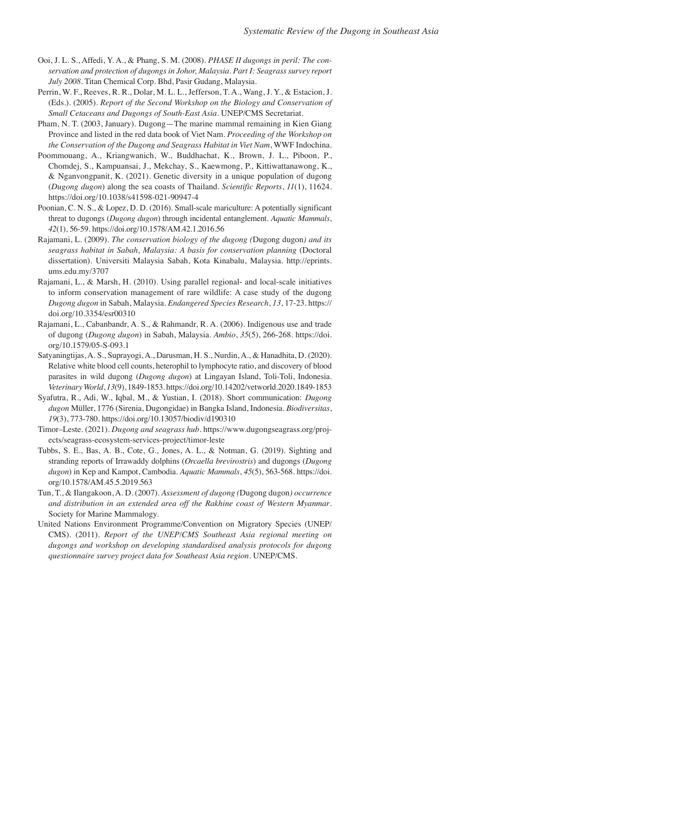- Ooi, J. L. S., Affedi, Y. A., & Phang, S. M. (2008). *PHASE II dugongs in peril: The conservation and protection of dugongs in Johor, Malaysia. Part I: Seagrass survey report July 2008*. Titan Chemical Corp. Bhd, Pasir Gudang, Malaysia.
- Perrin, W. F., Reeves, R. R., Dolar, M. L. L., Jefferson, T. A., Wang, J. Y., & Estacion, J. (Eds.). (2005). *Report of the Second Workshop on the Biology and Conservation of Small Cetaceans and Dugongs of South-East Asia.* UNEP/CMS Secretariat.
- Pham, N. T. (2003, January). Dugong—The marine mammal remaining in Kien Giang Province and listed in the red data book of Viet Nam. *Proceeding of the Workshop on the Conservation of the Dugong and Seagrass Habitat in Viet Nam*, WWF Indochina.
- Poommouang, A., Kriangwanich, W., Buddhachat, K., Brown, J. L., Piboon, P., Chomdej, S., Kampuansai, J., Mekchay, S., Kaewmong, P., Kittiwattanawong, K., & Nganvongpanit, K. (2021). Genetic diversity in a unique population of dugong (*Dugong dugon*) along the sea coasts of Thailand. *Scientific Reports*, *11*(1), 11624. https://doi.org/10.1038/s41598-021-90947-4
- Poonian, C. N. S., & Lopez, D. D. (2016). Small-scale mariculture: A potentially significant threat to dugongs (*Dugong dugon*) through incidental entanglement. *Aquatic Mammals*, *42*(1), 56-59. https://doi.org/10.1578/AM.42.1.2016.56
- Rajamani, L. (2009). *The conservation biology of the dugong (*Dugong dugon*) and its seagrass habitat in Sabah, Malaysia: A basis for conservation planning* (Doctoral dissertation). Universiti Malaysia Sabah, Kota Kinabalu, Malaysia. http://eprints. ums.edu.my/3707
- Rajamani, L., & Marsh, H. (2010). Using parallel regional- and local-scale initiatives to inform conservation management of rare wildlife: A case study of the dugong *Dugong dugon* in Sabah, Malaysia. *Endangered Species Research*, *13*, 17-23. https:// doi.org/10.3354/esr00310
- Rajamani, L., Cabanbandr, A. S., & Rahmandr, R. A. (2006). Indigenous use and trade of dugong (*Dugong dugon*) in Sabah, Malaysia. *Ambio*, *35*(5), 266-268. https://doi. org/10.1579/05-S-093.1
- Satyaningtijas, A. S., Suprayogi, A., Darusman, H. S., Nurdin, A., & Hanadhita, D. (2020). Relative white blood cell counts, heterophil to lymphocyte ratio, and discovery of blood parasites in wild dugong (*Dugong dugon*) at Lingayan Island, Toli-Toli, Indonesia. *Veterinary World*, *13*(9), 1849-1853. https://doi.org/10.14202/vetworld.2020.1849-1853
- Syafutra, R., Adi, W., Iqbal, M., & Yustian, I. (2018). Short communication: *Dugong dugon* Müller, 1776 (Sirenia, Dugongidae) in Bangka Island, Indonesia. *Biodiversitas*, *19*(3), 773-780. https://doi.org/10.13057/biodiv/d190310
- Timor–Leste. (2021). *Dugong and seagrass hub*. https://www.dugongseagrass.org/projects/seagrass-ecosystem-services-project/timor-leste
- Tubbs, S. E., Bas, A. B., Cote, G., Jones, A. L., & Notman, G. (2019). Sighting and stranding reports of Irrawaddy dolphins (*Orcaella brevirostris*) and dugongs (*Dugong dugon*) in Kep and Kampot, Cambodia. *Aquatic Mammals*, *45*(5), 563-568. https://doi. org/10.1578/AM.45.5.2019.563
- Tun, T., & Ilangakoon, A. D. (2007). *Assessment of dugong (*Dugong dugon*) occurrence and distribution in an extended area off the Rakhine coast of Western Myanmar*. Society for Marine Mammalogy.
- United Nations Environment Programme/Convention on Migratory Species (UNEP/ CMS). (2011). *Report of the UNEP/CMS Southeast Asia regional meeting on dugongs and workshop on developing standardised analysis protocols for dugong questionnaire survey project data for Southeast Asia region*. UNEP/CMS.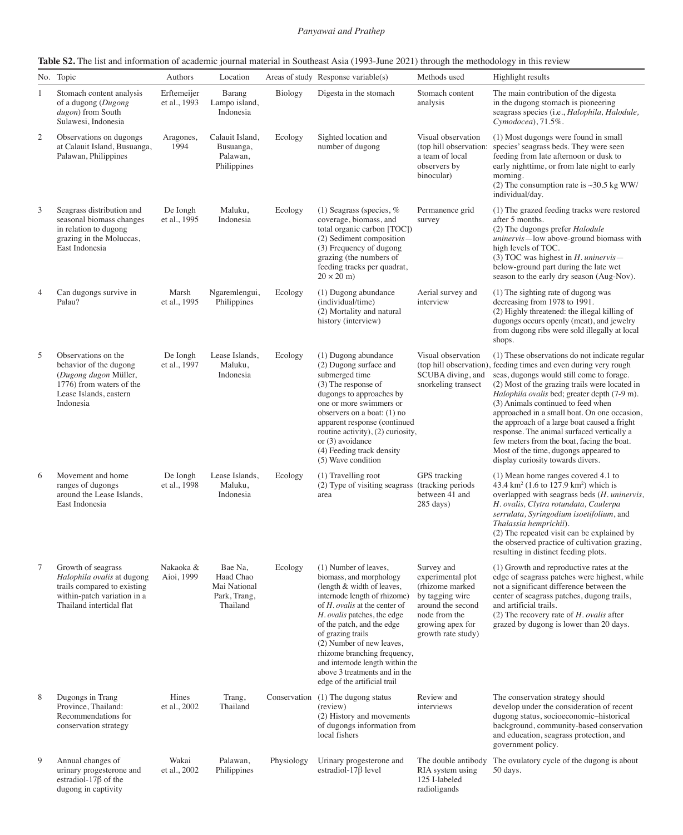|                | No. Topic                                                                                                                                  | Authors                     | Location                                                         |              | Areas of study Response variable(s)                                                                                                                                                                                                                                                                                                                                                                | Methods used                                                                                                                                          | Highlight results                                                                                                                                                                                                                                                                                                                                                                                                                                                                                                                                                                 |
|----------------|--------------------------------------------------------------------------------------------------------------------------------------------|-----------------------------|------------------------------------------------------------------|--------------|----------------------------------------------------------------------------------------------------------------------------------------------------------------------------------------------------------------------------------------------------------------------------------------------------------------------------------------------------------------------------------------------------|-------------------------------------------------------------------------------------------------------------------------------------------------------|-----------------------------------------------------------------------------------------------------------------------------------------------------------------------------------------------------------------------------------------------------------------------------------------------------------------------------------------------------------------------------------------------------------------------------------------------------------------------------------------------------------------------------------------------------------------------------------|
| 1              | Stomach content analysis<br>of a dugong (Dugong<br>dugon) from South<br>Sulawesi, Indonesia                                                | Erftemeijer<br>et al., 1993 | Barang<br>Lampo island,<br>Indonesia                             | Biology      | Digesta in the stomach                                                                                                                                                                                                                                                                                                                                                                             | Stomach content<br>analysis                                                                                                                           | The main contribution of the digesta<br>in the dugong stomach is pioneering<br>seagrass species (i.e., Halophila, Halodule,<br>Cymodocea), 71.5%.                                                                                                                                                                                                                                                                                                                                                                                                                                 |
| $\overline{c}$ | Observations on dugongs<br>at Calauit Island, Busuanga,<br>Palawan, Philippines                                                            | Aragones,<br>1994           | Calauit Island,<br>Busuanga,<br>Palawan,<br>Philippines          | Ecology      | Sighted location and<br>number of dugong                                                                                                                                                                                                                                                                                                                                                           | Visual observation<br>(top hill observation:<br>a team of local<br>observers by<br>binocular)                                                         | (1) Most dugongs were found in small<br>species' seagrass beds. They were seen<br>feeding from late afternoon or dusk to<br>early nighttime, or from late night to early<br>morning.<br>(2) The consumption rate is $\sim$ 30.5 kg WW/<br>individual/day.                                                                                                                                                                                                                                                                                                                         |
| 3              | Seagrass distribution and<br>seasonal biomass changes<br>in relation to dugong<br>grazing in the Moluccas,<br>East Indonesia               | De Iongh<br>et al., 1995    | Maluku,<br>Indonesia                                             | Ecology      | (1) Seagrass (species, $%$<br>coverage, biomass, and<br>total organic carbon [TOC])<br>(2) Sediment composition<br>(3) Frequency of dugong<br>grazing (the numbers of<br>feeding tracks per quadrat,<br>$20 \times 20$ m)                                                                                                                                                                          | Permanence grid<br>survey                                                                                                                             | (1) The grazed feeding tracks were restored<br>after 5 months.<br>(2) The dugongs prefer Halodule<br>uninervis-low above-ground biomass with<br>high levels of TOC.<br>(3) TOC was highest in $H$ . uninervis-<br>below-ground part during the late wet<br>season to the early dry season (Aug-Nov).                                                                                                                                                                                                                                                                              |
| 4              | Can dugongs survive in<br>Palau?                                                                                                           | Marsh<br>et al., 1995       | Ngaremlengui,<br>Philippines                                     | Ecology      | (1) Dugong abundance<br>(individual/time)<br>(2) Mortality and natural<br>history (interview)                                                                                                                                                                                                                                                                                                      | Aerial survey and<br>interview                                                                                                                        | (1) The sighting rate of dugong was<br>decreasing from 1978 to 1991.<br>(2) Highly threatened: the illegal killing of<br>dugongs occurs openly (meat), and jewelry<br>from dugong ribs were sold illegally at local<br>shops.                                                                                                                                                                                                                                                                                                                                                     |
| 5              | Observations on the<br>behavior of the dugong<br>(Dugong dugon Müller,<br>1776) from waters of the<br>Lease Islands, eastern<br>Indonesia  | De Iongh<br>et al., 1997    | Lease Islands,<br>Maluku,<br>Indonesia                           | Ecology      | (1) Dugong abundance<br>(2) Dugong surface and<br>submerged time<br>(3) The response of<br>dugongs to approaches by<br>one or more swimmers or<br>observers on a boat: (1) no<br>apparent response (continued<br>routine activity), (2) curiosity,<br>or $(3)$ avoidance<br>(4) Feeding track density<br>(5) Wave condition                                                                        | Visual observation<br>SCUBA diving, and<br>snorkeling transect                                                                                        | (1) These observations do not indicate regular<br>(top hill observation), feeding times and even during very rough<br>seas, dugongs would still come to forage.<br>(2) Most of the grazing trails were located in<br>Halophila ovalis bed; greater depth (7-9 m).<br>(3) Animals continued to feed when<br>approached in a small boat. On one occasion,<br>the approach of a large boat caused a fright<br>response. The animal surfaced vertically a<br>few meters from the boat, facing the boat.<br>Most of the time, dugongs appeared to<br>display curiosity towards divers. |
| 6              | Movement and home<br>ranges of dugongs<br>around the Lease Islands,<br>East Indonesia                                                      | De Iongh<br>et al., 1998    | Lease Islands,<br>Maluku,<br>Indonesia                           | Ecology      | (1) Travelling root<br>(2) Type of visiting seagrass<br>area                                                                                                                                                                                                                                                                                                                                       | GPS tracking<br>(tracking periods<br>between 41 and<br>$285 \text{ days}$                                                                             | (1) Mean home ranges covered 4.1 to<br>43.4 km <sup>2</sup> (1.6 to 127.9 km <sup>2</sup> ) which is<br>overlapped with seagrass beds (H. uninervis,<br>H. ovalis, Clytra rotundata, Caulerpa<br>serrulata, Syringodium isoetifolium, and<br>Thalassia hemprichii).<br>(2) The repeated visit can be explained by<br>the observed practice of cultivation grazing,<br>resulting in distinct feeding plots.                                                                                                                                                                        |
| 7              | Growth of seagrass<br>Halophila ovalis at dugong<br>trails compared to existing<br>within-patch variation in a<br>Thailand intertidal flat | Nakaoka &<br>Aioi, 1999     | Bae Na,<br>Haad Chao<br>Mai National<br>Park, Trang,<br>Thailand | Ecology      | (1) Number of leaves,<br>biomass, and morphology<br>(length & width of leaves,<br>internode length of rhizome)<br>of H. ovalis at the center of<br>H. ovalis patches, the edge<br>of the patch, and the edge<br>of grazing trails<br>(2) Number of new leaves,<br>rhizome branching frequency,<br>and internode length within the<br>above 3 treatments and in the<br>edge of the artificial trail | Survey and<br>experimental plot<br>(rhizome marked<br>by tagging wire<br>around the second<br>node from the<br>growing apex for<br>growth rate study) | (1) Growth and reproductive rates at the<br>edge of seagrass patches were highest, while<br>not a significant difference between the<br>center of seagrass patches, dugong trails,<br>and artificial trails.<br>(2) The recovery rate of $H$ . ovalis after<br>grazed by dugong is lower than 20 days.                                                                                                                                                                                                                                                                            |
| 8              | Dugongs in Trang<br>Province, Thailand:<br>Recommendations for<br>conservation strategy                                                    | Hines<br>et al., 2002       | Trang,<br>Thailand                                               | Conservation | (1) The dugong status<br>(review)<br>(2) History and movements<br>of dugongs information from<br>local fishers                                                                                                                                                                                                                                                                                     | Review and<br>interviews                                                                                                                              | The conservation strategy should<br>develop under the consideration of recent<br>dugong status, socioeconomic-historical<br>background, community-based conservation<br>and education, seagrass protection, and<br>government policy.                                                                                                                                                                                                                                                                                                                                             |
| 9              | Annual changes of<br>urinary progesterone and<br>estradiol-17 $\beta$ of the<br>dugong in captivity                                        | Wakai<br>et al., 2002       | Palawan,<br>Philippines                                          | Physiology   | Urinary progesterone and<br>estradiol-17 <sub>8</sub> level                                                                                                                                                                                                                                                                                                                                        | The double antibody<br>RIA system using<br>125 I-labeled<br>radioligands                                                                              | The ovulatory cycle of the dugong is about<br>50 days.                                                                                                                                                                                                                                                                                                                                                                                                                                                                                                                            |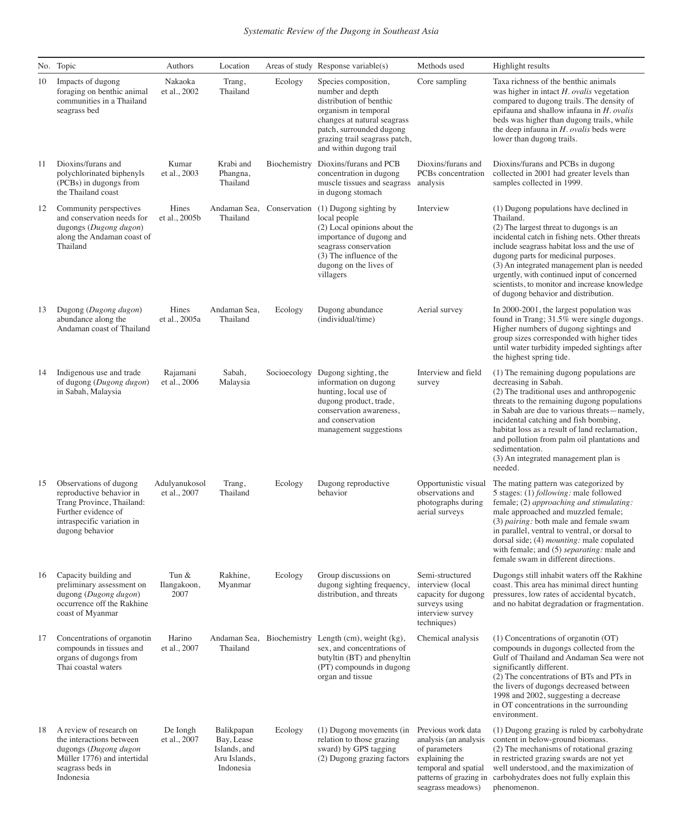|    | No. Topic                                                                                                                                               | Authors                       | Location                                                              |              | Areas of study Response variable(s)                                                                                                                                                                                | Methods used                                                                                                                                          | Highlight results                                                                                                                                                                                                                                                                                                                                                                                                                 |
|----|---------------------------------------------------------------------------------------------------------------------------------------------------------|-------------------------------|-----------------------------------------------------------------------|--------------|--------------------------------------------------------------------------------------------------------------------------------------------------------------------------------------------------------------------|-------------------------------------------------------------------------------------------------------------------------------------------------------|-----------------------------------------------------------------------------------------------------------------------------------------------------------------------------------------------------------------------------------------------------------------------------------------------------------------------------------------------------------------------------------------------------------------------------------|
| 10 | Impacts of dugong<br>foraging on benthic animal<br>communities in a Thailand<br>seagrass bed                                                            | Nakaoka<br>et al., 2002       | Trang,<br>Thailand                                                    | Ecology      | Species composition,<br>number and depth<br>distribution of benthic<br>organism in temporal<br>changes at natural seagrass<br>patch, surrounded dugong<br>grazing trail seagrass patch,<br>and within dugong trail | Core sampling                                                                                                                                         | Taxa richness of the benthic animals<br>was higher in intact $H$ . ovalis vegetation<br>compared to dugong trails. The density of<br>epifauna and shallow infauna in $H.$ ovalis<br>beds was higher than dugong trails, while<br>the deep infauna in $H$ . ovalis beds were<br>lower than dugong trails.                                                                                                                          |
| 11 | Dioxins/furans and<br>polychlorinated biphenyls<br>(PCBs) in dugongs from<br>the Thailand coast                                                         | Kumar<br>et al., 2003         | Krabi and<br>Phangna,<br>Thailand                                     | Biochemistry | Dioxins/furans and PCB<br>concentration in dugong<br>muscle tissues and seagrass<br>in dugong stomach                                                                                                              | Dioxins/furans and<br>PCBs concentration<br>analysis                                                                                                  | Dioxins/furans and PCBs in dugong<br>collected in 2001 had greater levels than<br>samples collected in 1999.                                                                                                                                                                                                                                                                                                                      |
| 12 | Community perspectives<br>and conservation needs for<br>dugongs (Dugong dugon)<br>along the Andaman coast of<br>Thailand                                | Hines<br>et al., 2005b        | Andaman Sea, Conservation<br>Thailand                                 |              | (1) Dugong sighting by<br>local people<br>(2) Local opinions about the<br>importance of dugong and<br>seagrass conservation<br>(3) The influence of the<br>dugong on the lives of<br>villagers                     | Interview                                                                                                                                             | (1) Dugong populations have declined in<br>Thailand.<br>(2) The largest threat to dugongs is an<br>incidental catch in fishing nets. Other threats<br>include seagrass habitat loss and the use of<br>dugong parts for medicinal purposes.<br>(3) An integrated management plan is needed<br>urgently, with continued input of concerned<br>scientists, to monitor and increase knowledge<br>of dugong behavior and distribution. |
| 13 | Dugong (Dugong dugon)<br>abundance along the<br>Andaman coast of Thailand                                                                               | Hines<br>et al., 2005a        | Andaman Sea,<br>Thailand                                              | Ecology      | Dugong abundance<br>(individual/time)                                                                                                                                                                              | Aerial survey                                                                                                                                         | In 2000-2001, the largest population was<br>found in Trang; 31.5% were single dugongs.<br>Higher numbers of dugong sightings and<br>group sizes corresponded with higher tides<br>until water turbidity impeded sightings after<br>the highest spring tide.                                                                                                                                                                       |
| 14 | Indigenous use and trade<br>of dugong (Dugong dugon)<br>in Sabah, Malaysia                                                                              | Rajamani<br>et al., 2006      | Sabah,<br>Malaysia                                                    | Socioecology | Dugong sighting, the<br>information on dugong<br>hunting, local use of<br>dugong product, trade,<br>conservation awareness,<br>and conservation<br>management suggestions                                          | Interview and field<br>survey                                                                                                                         | (1) The remaining dugong populations are<br>decreasing in Sabah.<br>(2) The traditional uses and anthropogenic<br>threats to the remaining dugong populations<br>in Sabah are due to various threats-namely,<br>incidental catching and fish bombing,<br>habitat loss as a result of land reclamation,<br>and pollution from palm oil plantations and<br>sedimentation.<br>(3) An integrated management plan is<br>needed.        |
| 15 | Observations of dugong<br>reproductive behavior in<br>Trang Province, Thailand:<br>Further evidence of<br>intraspecific variation in<br>dugong behavior | Adulyanukosol<br>et al., 2007 | Trang,<br>Thailand                                                    | Ecology      | Dugong reproductive<br>behavior                                                                                                                                                                                    | Opportunistic visual<br>observations and<br>photographs during<br>aerial surveys                                                                      | The mating pattern was categorized by<br>5 stages: (1) following: male followed<br>female; (2) approaching and stimulating:<br>male approached and muzzled female;<br>(3) pairing: both male and female swam<br>in parallel, ventral to ventral, or dorsal to<br>dorsal side; (4) <i>mounting</i> : male copulated<br>with female; and (5) separating: male and<br>female swam in different directions.                           |
| 16 | Capacity building and<br>preliminary assessment on<br>dugong (Dugong dugon)<br>occurrence off the Rakhine<br>coast of Myanmar                           | Tun &<br>Ilangakoon,<br>2007  | Rakhine,<br>Myanmar                                                   | Ecology      | Group discussions on<br>dugong sighting frequency,<br>distribution, and threats                                                                                                                                    | Semi-structured<br>interview (local<br>capacity for dugong<br>surveys using<br>interview survey<br>techniques)                                        | Dugongs still inhabit waters off the Rakhine<br>coast. This area has minimal direct hunting<br>pressures, low rates of accidental bycatch,<br>and no habitat degradation or fragmentation.                                                                                                                                                                                                                                        |
| 17 | Concentrations of organotin<br>compounds in tissues and<br>organs of dugongs from<br>Thai coastal waters                                                | Harino<br>et al., 2007        | Thailand                                                              |              | Andaman Sea, Biochemistry Length (cm), weight (kg),<br>sex, and concentrations of<br>butyltin (BT) and phenyltin<br>(PT) compounds in dugong<br>organ and tissue                                                   | Chemical analysis                                                                                                                                     | (1) Concentrations of organotin (OT)<br>compounds in dugongs collected from the<br>Gulf of Thailand and Andaman Sea were not<br>significantly different.<br>(2) The concentrations of BTs and PTs in<br>the livers of dugongs decreased between<br>1998 and 2002, suggesting a decrease<br>in OT concentrations in the surrounding<br>environment.                                                                                |
| 18 | A review of research on<br>the interactions between<br>dugongs (Dugong dugon<br>Müller 1776) and intertidal<br>seagrass beds in<br>Indonesia            | De Iongh<br>et al., 2007      | Balikpapan<br>Bay, Lease<br>Islands, and<br>Aru Islands,<br>Indonesia | Ecology      | (1) Dugong movements (in<br>relation to those grazing<br>sward) by GPS tagging<br>(2) Dugong grazing factors                                                                                                       | Previous work data<br>analysis (an analysis<br>of parameters<br>explaining the<br>temporal and spatial<br>patterns of grazing in<br>seagrass meadows) | (1) Dugong grazing is ruled by carbohydrate<br>content in below-ground biomass.<br>(2) The mechanisms of rotational grazing<br>in restricted grazing swards are not yet<br>well understood, and the maximization of<br>carbohydrates does not fully explain this<br>phenomenon.                                                                                                                                                   |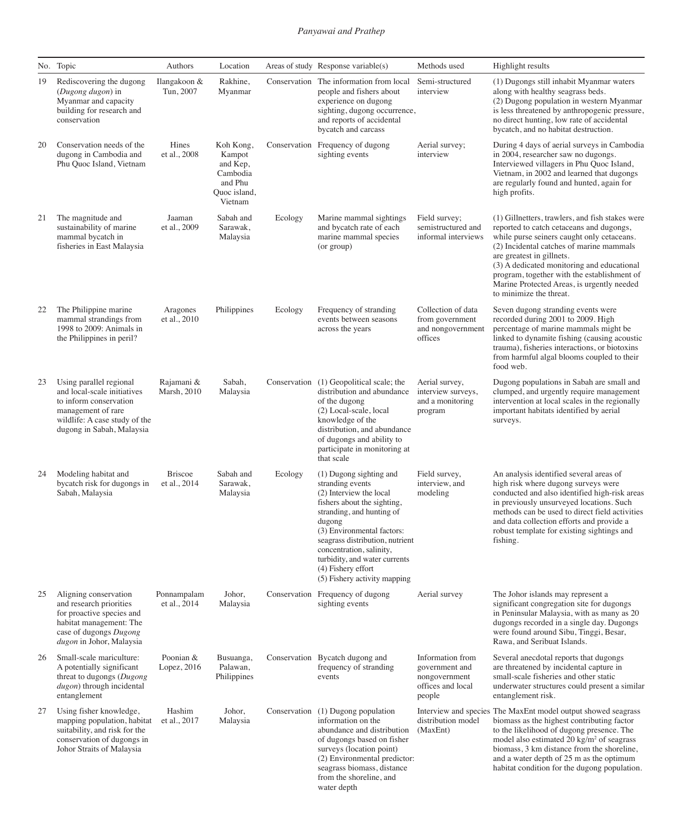|    | No. Topic                                                                                                                                                            | Authors                        | Location                                                                          |              | Areas of study Response variable(s)                                                                                                                                                                                                                                                                                              | Methods used                                                                       | Highlight results                                                                                                                                                                                                                                                                                                                                                                        |
|----|----------------------------------------------------------------------------------------------------------------------------------------------------------------------|--------------------------------|-----------------------------------------------------------------------------------|--------------|----------------------------------------------------------------------------------------------------------------------------------------------------------------------------------------------------------------------------------------------------------------------------------------------------------------------------------|------------------------------------------------------------------------------------|------------------------------------------------------------------------------------------------------------------------------------------------------------------------------------------------------------------------------------------------------------------------------------------------------------------------------------------------------------------------------------------|
| 19 | Rediscovering the dugong<br>(Dugong dugon) in<br>Myanmar and capacity<br>building for research and<br>conservation                                                   | Ilangakoon &<br>Tun, 2007      | Rakhine,<br>Myanmar                                                               | Conservation | The information from local<br>people and fishers about<br>experience on dugong<br>sighting, dugong occurrence,<br>and reports of accidental<br>bycatch and carcass                                                                                                                                                               | Semi-structured<br>interview                                                       | (1) Dugongs still inhabit Myanmar waters<br>along with healthy seagrass beds.<br>(2) Dugong population in western Myanmar<br>is less threatened by anthropogenic pressure,<br>no direct hunting, low rate of accidental<br>bycatch, and no habitat destruction.                                                                                                                          |
| 20 | Conservation needs of the<br>dugong in Cambodia and<br>Phu Quoc Island, Vietnam                                                                                      | Hines<br>et al., 2008          | Koh Kong,<br>Kampot<br>and Kep,<br>Cambodia<br>and Phu<br>Quoc island,<br>Vietnam |              | Conservation Frequency of dugong<br>sighting events                                                                                                                                                                                                                                                                              | Aerial survey;<br>interview                                                        | During 4 days of aerial surveys in Cambodia<br>in 2004, researcher saw no dugongs.<br>Interviewed villagers in Phu Quoc Island,<br>Vietnam, in 2002 and learned that dugongs<br>are regularly found and hunted, again for<br>high profits.                                                                                                                                               |
| 21 | The magnitude and<br>sustainability of marine<br>mammal bycatch in<br>fisheries in East Malaysia                                                                     | Jaaman<br>et al., 2009         | Sabah and<br>Sarawak,<br>Malaysia                                                 | Ecology      | Marine mammal sightings<br>and bycatch rate of each<br>marine mammal species<br>(or group)                                                                                                                                                                                                                                       | Field survey;<br>semistructured and<br>informal interviews                         | (1) Gillnetters, trawlers, and fish stakes were<br>reported to catch cetaceans and dugongs,<br>while purse seiners caught only cetaceans.<br>(2) Incidental catches of marine mammals<br>are greatest in gillnets.<br>(3) A dedicated monitoring and educational<br>program, together with the establishment of<br>Marine Protected Areas, is urgently needed<br>to minimize the threat. |
| 22 | The Philippine marine<br>mammal strandings from<br>1998 to 2009: Animals in<br>the Philippines in peril?                                                             | Aragones<br>et al., 2010       | Philippines                                                                       | Ecology      | Frequency of stranding<br>events between seasons<br>across the years                                                                                                                                                                                                                                                             | Collection of data<br>from government<br>and nongovernment<br>offices              | Seven dugong stranding events were<br>recorded during 2001 to 2009. High<br>percentage of marine mammals might be<br>linked to dynamite fishing (causing acoustic<br>trauma), fisheries interactions, or biotoxins<br>from harmful algal blooms coupled to their<br>food web.                                                                                                            |
| 23 | Using parallel regional<br>and local-scale initiatives<br>to inform conservation<br>management of rare<br>wildlife: A case study of the<br>dugong in Sabah, Malaysia | Rajamani &<br>Marsh, 2010      | Sabah,<br>Malaysia                                                                | Conservation | (1) Geopolitical scale; the<br>distribution and abundance<br>of the dugong<br>(2) Local-scale, local<br>knowledge of the<br>distribution, and abundance<br>of dugongs and ability to<br>participate in monitoring at<br>that scale                                                                                               | Aerial survey,<br>interview surveys,<br>and a monitoring<br>program                | Dugong populations in Sabah are small and<br>clumped, and urgently require management<br>intervention at local scales in the regionally<br>important habitats identified by aerial<br>surveys.                                                                                                                                                                                           |
| 24 | Modeling habitat and<br>bycatch risk for dugongs in<br>Sabah, Malaysia                                                                                               | <b>Briscoe</b><br>et al., 2014 | Sabah and<br>Sarawak,<br>Malaysia                                                 | Ecology      | (1) Dugong sighting and<br>stranding events<br>(2) Interview the local<br>fishers about the sighting,<br>stranding, and hunting of<br>dugong<br>(3) Environmental factors:<br>seagrass distribution, nutrient<br>concentration, salinity,<br>turbidity, and water currents<br>(4) Fishery effort<br>(5) Fishery activity mapping | Field survey,<br>interview, and<br>modeling                                        | An analysis identified several areas of<br>high risk where dugong surveys were<br>conducted and also identified high-risk areas<br>in previously unsurveyed locations. Such<br>methods can be used to direct field activities<br>and data collection efforts and provide a<br>robust template for existing sightings and<br>fishing.                                                     |
| 25 | Aligning conservation<br>and research priorities<br>for proactive species and<br>habitat management: The<br>case of dugongs Dugong<br>dugon in Johor, Malaysia       | Ponnampalam<br>et al., 2014    | Johor,<br>Malaysia                                                                |              | Conservation Frequency of dugong<br>sighting events                                                                                                                                                                                                                                                                              | Aerial survey                                                                      | The Johor islands may represent a<br>significant congregation site for dugongs<br>in Peninsular Malaysia, with as many as 20<br>dugongs recorded in a single day. Dugongs<br>were found around Sibu, Tinggi, Besar,<br>Rawa, and Seribuat Islands.                                                                                                                                       |
| 26 | Small-scale mariculture:<br>A potentially significant<br>threat to dugongs (Dugong<br>dugon) through incidental<br>entanglement                                      | Poonian &<br>Lopez, 2016       | Busuanga,<br>Palawan,<br>Philippines                                              |              | Conservation Bycatch dugong and<br>frequency of stranding<br>events                                                                                                                                                                                                                                                              | Information from<br>government and<br>nongovernment<br>offices and local<br>people | Several anecdotal reports that dugongs<br>are threatened by incidental capture in<br>small-scale fisheries and other static<br>underwater structures could present a similar<br>entanglement risk.                                                                                                                                                                                       |
| 27 | Using fisher knowledge,<br>mapping population, habitat<br>suitability, and risk for the<br>conservation of dugongs in<br>Johor Straits of Malaysia                   | Hashim<br>et al., 2017         | Johor,<br>Malaysia                                                                | Conservation | (1) Dugong population<br>information on the<br>abundance and distribution<br>of dugongs based on fisher<br>surveys (location point)<br>(2) Environmental predictor:<br>seagrass biomass, distance<br>from the shoreline, and<br>water depth                                                                                      | distribution model<br>(MaxEnt)                                                     | Interview and species The MaxEnt model output showed seagrass<br>biomass as the highest contributing factor<br>to the likelihood of dugong presence. The<br>model also estimated 20 kg/m <sup>2</sup> of seagrass<br>biomass, 3 km distance from the shoreline,<br>and a water depth of 25 m as the optimum<br>habitat condition for the dugong population.                              |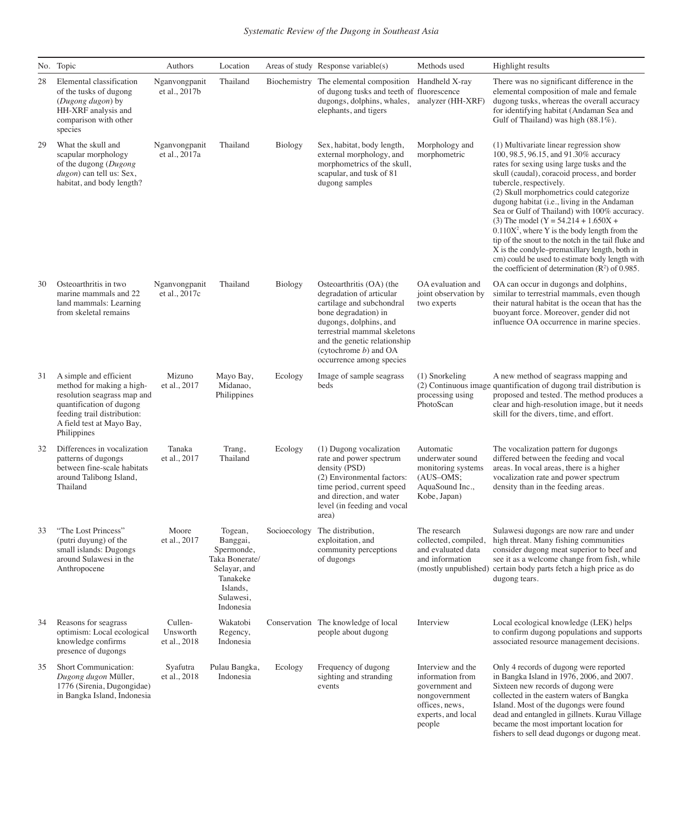|    | No. Topic                                                                                                                                                                                 | Authors                             | Location                                                                                                              |                | Areas of study Response variable(s)                                                                                                                                                                                                                         | Methods used                                                                                                               | Highlight results                                                                                                                                                                                                                                                                                                                                                                                                                                                                                                                                                                                                                                                  |
|----|-------------------------------------------------------------------------------------------------------------------------------------------------------------------------------------------|-------------------------------------|-----------------------------------------------------------------------------------------------------------------------|----------------|-------------------------------------------------------------------------------------------------------------------------------------------------------------------------------------------------------------------------------------------------------------|----------------------------------------------------------------------------------------------------------------------------|--------------------------------------------------------------------------------------------------------------------------------------------------------------------------------------------------------------------------------------------------------------------------------------------------------------------------------------------------------------------------------------------------------------------------------------------------------------------------------------------------------------------------------------------------------------------------------------------------------------------------------------------------------------------|
| 28 | Elemental classification<br>of the tusks of dugong<br>(Dugong dugon) by<br>HH-XRF analysis and<br>comparison with other<br>species                                                        | Nganvongpanit<br>et al., 2017b      | Thailand                                                                                                              |                | Biochemistry The elemental composition<br>of dugong tusks and teeth of fluorescence<br>dugongs, dolphins, whales,<br>elephants, and tigers                                                                                                                  | Handheld X-ray<br>analyzer (HH-XRF)                                                                                        | There was no significant difference in the<br>elemental composition of male and female<br>dugong tusks, whereas the overall accuracy<br>for identifying habitat (Andaman Sea and<br>Gulf of Thailand) was high (88.1%).                                                                                                                                                                                                                                                                                                                                                                                                                                            |
| 29 | What the skull and<br>scapular morphology<br>of the dugong (Dugong<br>dugon) can tell us: Sex,<br>habitat, and body length?                                                               | Nganvongpanit<br>et al., 2017a      | Thailand                                                                                                              | <b>Biology</b> | Sex, habitat, body length,<br>external morphology, and<br>morphometrics of the skull,<br>scapular, and tusk of 81<br>dugong samples                                                                                                                         | Morphology and<br>morphometric                                                                                             | (1) Multivariate linear regression show<br>100, 98.5, 96.15, and 91.30% accuracy<br>rates for sexing using large tusks and the<br>skull (caudal), coracoid process, and border<br>tubercle, respectively.<br>(2) Skull morphometrics could categorize<br>dugong habitat (i.e., living in the Andaman<br>Sea or Gulf of Thailand) with 100% accuracy.<br>(3) The model ( $Y = 54.214 + 1.650X +$<br>$0.110X2$ , where Y is the body length from the<br>tip of the snout to the notch in the tail fluke and<br>X is the condyle-premaxillary length, both in<br>cm) could be used to estimate body length with<br>the coefficient of determination $(R^2)$ of 0.985. |
| 30 | Osteoarthritis in two<br>marine mammals and 22<br>land mammals: Learning<br>from skeletal remains                                                                                         | Nganvongpanit<br>et al., 2017c      | Thailand                                                                                                              | Biology        | Osteoarthritis (OA) (the<br>degradation of articular<br>cartilage and subchondral<br>bone degradation) in<br>dugongs, dolphins, and<br>terrestrial mammal skeletons<br>and the genetic relationship<br>(cytochrome $b$ ) and OA<br>occurrence among species | OA evaluation and<br>joint observation by<br>two experts                                                                   | OA can occur in dugongs and dolphins,<br>similar to terrestrial mammals, even though<br>their natural habitat is the ocean that has the<br>buoyant force. Moreover, gender did not<br>influence OA occurrence in marine species.                                                                                                                                                                                                                                                                                                                                                                                                                                   |
| 31 | A simple and efficient<br>method for making a high-<br>resolution seagrass map and<br>quantification of dugong<br>feeding trail distribution:<br>A field test at Mayo Bay,<br>Philippines | Mizuno<br>et al., 2017              | Mayo Bay,<br>Midanao,<br>Philippines                                                                                  | Ecology        | Image of sample seagrass<br>beds                                                                                                                                                                                                                            | (1) Snorkeling<br>processing using<br>PhotoScan                                                                            | A new method of seagrass mapping and<br>(2) Continuous image quantification of dugong trail distribution is<br>proposed and tested. The method produces a<br>clear and high-resolution image, but it needs<br>skill for the divers, time, and effort.                                                                                                                                                                                                                                                                                                                                                                                                              |
| 32 | Differences in vocalization<br>patterns of dugongs<br>between fine-scale habitats<br>around Talibong Island,<br>Thailand                                                                  | Tanaka<br>et al., 2017              | Trang,<br>Thailand                                                                                                    | Ecology        | (1) Dugong vocalization<br>rate and power spectrum<br>density (PSD)<br>(2) Environmental factors:<br>time period, current speed<br>and direction, and water<br>level (in feeding and vocal<br>area)                                                         | Automatic<br>underwater sound<br>monitoring systems<br>$(AUS-OMS;$<br>AquaSound Inc.,<br>Kobe, Japan)                      | The vocalization pattern for dugongs<br>differed between the feeding and vocal<br>areas. In vocal areas, there is a higher<br>vocalization rate and power spectrum<br>density than in the feeding areas.                                                                                                                                                                                                                                                                                                                                                                                                                                                           |
| 33 | "The Lost Princess"<br>(putri duyung) of the<br>small islands: Dugongs<br>around Sulawesi in the<br>Anthropocene                                                                          | Moore<br>et al., 2017               | Togean,<br>Banggai,<br>Spermonde,<br>Taka Bonerate/<br>Selayar, and<br>Tanakeke<br>Islands,<br>Sulawesi,<br>Indonesia | Socioecology   | The distribution,<br>exploitation, and<br>community perceptions<br>of dugongs                                                                                                                                                                               | The research<br>collected, compiled,<br>and evaluated data<br>and information<br>(mostly unpublished)                      | Sulawesi dugongs are now rare and under<br>high threat. Many fishing communities<br>consider dugong meat superior to beef and<br>see it as a welcome change from fish, while<br>certain body parts fetch a high price as do<br>dugong tears.                                                                                                                                                                                                                                                                                                                                                                                                                       |
| 34 | Reasons for seagrass<br>optimism: Local ecological<br>knowledge confirms<br>presence of dugongs                                                                                           | Cullen-<br>Unsworth<br>et al., 2018 | Wakatobi<br>Regency,<br>Indonesia                                                                                     |                | Conservation The knowledge of local<br>people about dugong                                                                                                                                                                                                  | Interview                                                                                                                  | Local ecological knowledge (LEK) helps<br>to confirm dugong populations and supports<br>associated resource management decisions.                                                                                                                                                                                                                                                                                                                                                                                                                                                                                                                                  |
| 35 | Short Communication:<br>Dugong dugon Müller,<br>1776 (Sirenia, Dugongidae)<br>in Bangka Island, Indonesia                                                                                 | Syafutra<br>et al., 2018            | Pulau Bangka,<br>Indonesia                                                                                            | Ecology        | Frequency of dugong<br>sighting and stranding<br>events                                                                                                                                                                                                     | Interview and the<br>information from<br>government and<br>nongovernment<br>offices, news,<br>experts, and local<br>people | Only 4 records of dugong were reported<br>in Bangka Island in 1976, 2006, and 2007.<br>Sixteen new records of dugong were<br>collected in the eastern waters of Bangka<br>Island. Most of the dugongs were found<br>dead and entangled in gillnets. Kurau Village<br>became the most important location for<br>fishers to sell dead dugongs or dugong meat.                                                                                                                                                                                                                                                                                                        |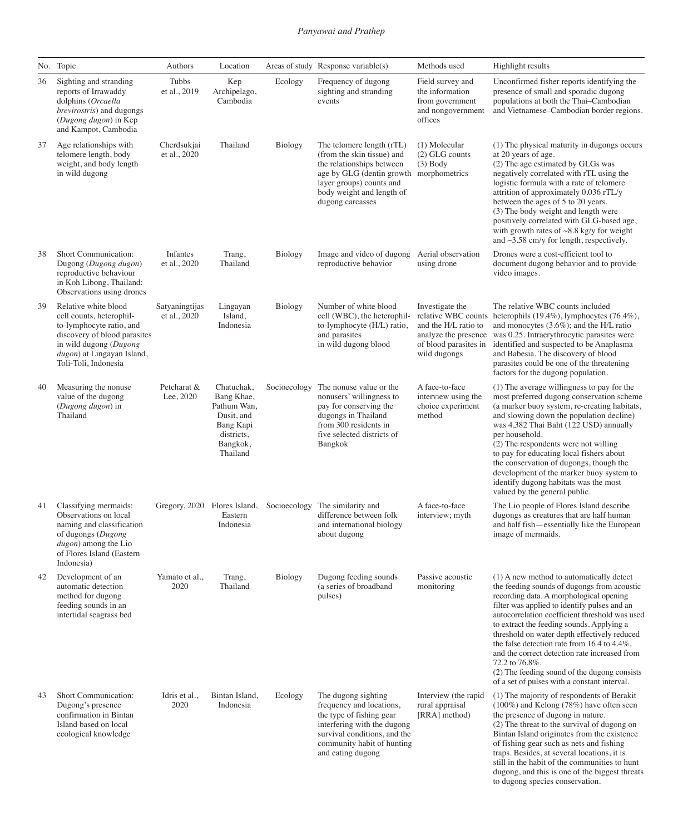|    | No. Topic                                                                                                                                                                                    | Authors                        | Location                                                                                                 |              | Areas of study Response variable(s)                                                                                                                                                                          | Methods used                                                                                                                    | Highlight results                                                                                                                                                                                                                                                                                                                                                                                                                                                                                                                                       |
|----|----------------------------------------------------------------------------------------------------------------------------------------------------------------------------------------------|--------------------------------|----------------------------------------------------------------------------------------------------------|--------------|--------------------------------------------------------------------------------------------------------------------------------------------------------------------------------------------------------------|---------------------------------------------------------------------------------------------------------------------------------|---------------------------------------------------------------------------------------------------------------------------------------------------------------------------------------------------------------------------------------------------------------------------------------------------------------------------------------------------------------------------------------------------------------------------------------------------------------------------------------------------------------------------------------------------------|
| 36 | Sighting and stranding<br>reports of Irrawaddy<br>dolphins (Orcaella<br>brevirostris) and dugongs<br>(Dugong dugon) in Kep<br>and Kampot, Cambodia                                           | Tubbs<br>et al., 2019          | Kep<br>Archipelago,<br>Cambodia                                                                          | Ecology      | Frequency of dugong<br>sighting and stranding<br>events                                                                                                                                                      | Field survey and<br>the information<br>from government<br>and nongovernment<br>offices                                          | Unconfirmed fisher reports identifying the<br>presence of small and sporadic dugong<br>populations at both the Thai-Cambodian<br>and Vietnamese-Cambodian border regions.                                                                                                                                                                                                                                                                                                                                                                               |
| 37 | Age relationships with<br>telomere length, body<br>weight, and body length<br>in wild dugong                                                                                                 | Cherdsukjai<br>et al., 2020    | Thailand                                                                                                 | Biology      | The telomere length (rTL)<br>(from the skin tissue) and<br>the relationships between<br>age by GLG (dentin growth morphometrics<br>layer groups) counts and<br>body weight and length of<br>dugong carcasses | (1) Molecular<br>$(2)$ GLG counts<br>$(3)$ Body                                                                                 | (1) The physical maturity in dugongs occurs<br>at 20 years of age.<br>(2) The age estimated by GLGs was<br>negatively correlated with rTL using the<br>logistic formula with a rate of telomere<br>attrition of approximately 0.036 rTL/y<br>between the ages of 5 to 20 years.<br>(3) The body weight and length were<br>positively correlated with GLG-based age,<br>with growth rates of $\sim 8.8$ kg/y for weight<br>and $\sim$ 3.58 cm/y for length, respectively.                                                                                |
| 38 | Short Communication:<br>Dugong (Dugong dugon)<br>reproductive behaviour<br>in Koh Libong, Thailand:<br>Observations using drones                                                             | Infantes<br>et al., 2020       | Trang,<br>Thailand                                                                                       | Biology      | Image and video of dugong<br>reproductive behavior                                                                                                                                                           | Aerial observation<br>using drone                                                                                               | Drones were a cost-efficient tool to<br>document dugong behavior and to provide<br>video images.                                                                                                                                                                                                                                                                                                                                                                                                                                                        |
| 39 | Relative white blood<br>cell counts, heterophil-<br>to-lymphocyte ratio, and<br>discovery of blood parasites<br>in wild dugong (Dugong<br>dugon) at Lingayan Island,<br>Toli-Toli, Indonesia | Satyaningtijas<br>et al., 2020 | Lingayan<br>Island,<br>Indonesia                                                                         | Biology      | Number of white blood<br>cell (WBC), the heterophil-<br>to-lymphocyte (H/L) ratio,<br>and parasites<br>in wild dugong blood                                                                                  | Investigate the<br>relative WBC counts<br>and the H/L ratio to<br>analyze the presence<br>of blood parasites in<br>wild dugongs | The relative WBC counts included<br>heterophils $(19.4\%)$ , lymphocytes $(76.4\%)$ ,<br>and monocytes (3.6%); and the H/L ratio<br>was 0.25. Intraerythrocytic parasites were<br>identified and suspected to be Anaplasma<br>and Babesia. The discovery of blood<br>parasites could be one of the threatening<br>factors for the dugong population.                                                                                                                                                                                                    |
| 40 | Measuring the nonuse.<br>value of the dugong<br>(Dugong dugon) in<br>Thailand                                                                                                                | Petcharat &<br>Lee, 2020       | Chatuchak,<br>Bang Khae,<br>Pathum Wan,<br>Dusit, and<br>Bang Kapi<br>districts,<br>Bangkok,<br>Thailand | Socioecology | The nonuse value or the<br>nonusers' willingness to<br>pay for conserving the<br>dugongs in Thailand<br>from 300 residents in<br>five selected districts of<br>Bangkok                                       | A face-to-face<br>interview using the<br>choice experiment<br>method                                                            | (1) The average willingness to pay for the<br>most preferred dugong conservation scheme<br>(a marker buoy system, re-creating habitats,<br>and slowing down the population decline)<br>was 4,382 Thai Baht (122 USD) annually<br>per household.<br>(2) The respondents were not willing<br>to pay for educating local fishers about<br>the conservation of dugongs, though the<br>development of the marker buoy system to<br>identify dugong habitats was the most<br>valued by the general public.                                                    |
| 41 | Classifying mermaids:<br>Observations on local<br>naming and classification<br>of dugongs (Dugong<br><i>dugon</i> ) among the Lio<br>of Flores Island (Eastern<br>Indonesia)                 |                                | Eastern<br>Indonesia                                                                                     |              | Gregory, 2020 Flores Island, Socioecology The similarity and<br>difference between folk<br>and international biology<br>about dugong                                                                         | A face-to-face<br>interview; myth                                                                                               | The Lio people of Flores Island describe<br>dugongs as creatures that are half human<br>and half fish-essentially like the European<br>image of mermaids.                                                                                                                                                                                                                                                                                                                                                                                               |
| 42 | Development of an<br>automatic detection<br>method for dugong<br>feeding sounds in an<br>intertidal seagrass bed                                                                             | Yamato et al.,<br>2020         | Trang,<br>Thailand                                                                                       | Biology      | Dugong feeding sounds<br>(a series of broadband<br>pulses)                                                                                                                                                   | Passive acoustic<br>monitoring                                                                                                  | (1) A new method to automatically detect<br>the feeding sounds of dugongs from acoustic<br>recording data. A morphological opening<br>filter was applied to identify pulses and an<br>autocorrelation coefficient threshold was used<br>to extract the feeding sounds. Applying a<br>threshold on water depth effectively reduced<br>the false detection rate from 16.4 to $4.4\%$ ,<br>and the correct detection rate increased from<br>72.2 to 76.8%.<br>(2) The feeding sound of the dugong consists<br>of a set of pulses with a constant interval. |
| 43 | Short Communication:<br>Dugong's presence<br>confirmation in Bintan<br>Island based on local<br>ecological knowledge                                                                         | Idris et al.,<br>2020          | Bintan Island,<br>Indonesia                                                                              | Ecology      | The dugong sighting<br>frequency and locations,<br>the type of fishing gear<br>interfering with the dugong<br>survival conditions, and the<br>community habit of hunting<br>and eating dugong                | Interview (the rapid<br>rural appraisal<br>[RRA] method)                                                                        | (1) The majority of respondents of Berakit<br>$(100\%)$ and Kelong (78%) have often seen<br>the presence of dugong in nature.<br>(2) The threat to the survival of dugong on<br>Bintan Island originates from the existence<br>of fishing gear such as nets and fishing<br>traps. Besides, at several locations, it is<br>still in the habit of the communities to hunt<br>dugong, and this is one of the biggest threats<br>to dugong species conservation.                                                                                            |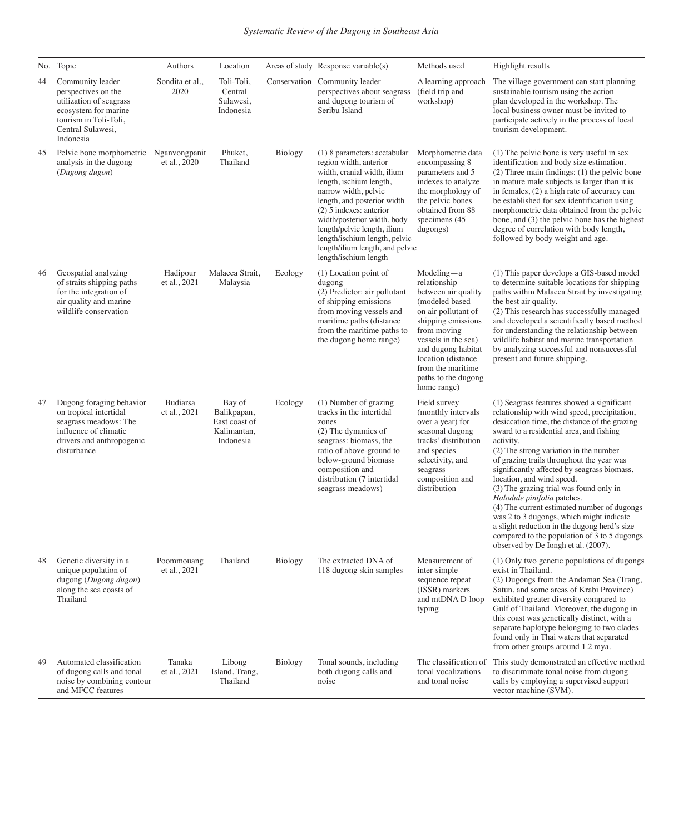|    | No. Topic                                                                                                                                             | Authors                         | Location                                                           |                | Areas of study Response variable(s)                                                                                                                                                                                                                                                                                                                             | Methods used                                                                                                                                                                                                                                                    | Highlight results                                                                                                                                                                                                                                                                                                                                                                                                                                                                                                                                                                                                                                                                   |
|----|-------------------------------------------------------------------------------------------------------------------------------------------------------|---------------------------------|--------------------------------------------------------------------|----------------|-----------------------------------------------------------------------------------------------------------------------------------------------------------------------------------------------------------------------------------------------------------------------------------------------------------------------------------------------------------------|-----------------------------------------------------------------------------------------------------------------------------------------------------------------------------------------------------------------------------------------------------------------|-------------------------------------------------------------------------------------------------------------------------------------------------------------------------------------------------------------------------------------------------------------------------------------------------------------------------------------------------------------------------------------------------------------------------------------------------------------------------------------------------------------------------------------------------------------------------------------------------------------------------------------------------------------------------------------|
| 44 | Community leader<br>perspectives on the<br>utilization of seagrass<br>ecosystem for marine<br>tourism in Toli-Toli,<br>Central Sulawesi,<br>Indonesia | Sondita et al.,<br>2020         | Toli-Toli,<br>Central<br>Sulawesi,<br>Indonesia                    |                | Conservation Community leader<br>perspectives about seagrass<br>and dugong tourism of<br>Seribu Island                                                                                                                                                                                                                                                          | A learning approach<br>(field trip and<br>workshop)                                                                                                                                                                                                             | The village government can start planning<br>sustainable tourism using the action<br>plan developed in the workshop. The<br>local business owner must be invited to<br>participate actively in the process of local<br>tourism development.                                                                                                                                                                                                                                                                                                                                                                                                                                         |
| 45 | Pelvic bone morphometric<br>analysis in the dugong<br>(Dugong dugon)                                                                                  | Nganvongpanit<br>et al., 2020   | Phuket,<br>Thailand                                                | Biology        | (1) 8 parameters: acetabular<br>region width, anterior<br>width, cranial width, ilium<br>length, ischium length,<br>narrow width, pelvic<br>length, and posterior width<br>$(2)$ 5 indexes: anterior<br>width/posterior width, body<br>length/pelvic length, ilium<br>length/ischium length, pelvic<br>length/ilium length, and pelvic<br>length/ischium length | Morphometric data<br>encompassing 8<br>parameters and 5<br>indexes to analyze<br>the morphology of<br>the pelvic bones<br>obtained from 88<br>specimens (45<br>dugongs)                                                                                         | (1) The pelvic bone is very useful in sex<br>identification and body size estimation.<br>$(2)$ Three main findings: $(1)$ the pelvic bone<br>in mature male subjects is larger than it is<br>in females, (2) a high rate of accuracy can<br>be established for sex identification using<br>morphometric data obtained from the pelvic<br>bone, and (3) the pelvic bone has the highest<br>degree of correlation with body length,<br>followed by body weight and age.                                                                                                                                                                                                               |
| 46 | Geospatial analyzing<br>of straits shipping paths<br>for the integration of<br>air quality and marine<br>wildlife conservation                        | Hadipour<br>et al., 2021        | Malacca Strait,<br>Malaysia                                        | Ecology        | $(1)$ Location point of<br>dugong<br>(2) Predictor: air pollutant<br>of shipping emissions<br>from moving vessels and<br>maritime paths (distance<br>from the maritime paths to<br>the dugong home range)                                                                                                                                                       | $Modeling-a$<br>relationship<br>between air quality<br>(modeled based<br>on air pollutant of<br>shipping emissions<br>from moving<br>vessels in the sea)<br>and dugong habitat<br>location (distance<br>from the maritime<br>paths to the dugong<br>home range) | (1) This paper develops a GIS-based model<br>to determine suitable locations for shipping<br>paths within Malacca Strait by investigating<br>the best air quality.<br>(2) This research has successfully managed<br>and developed a scientifically based method<br>for understanding the relationship between<br>wildlife habitat and marine transportation<br>by analyzing successful and nonsuccessful<br>present and future shipping.                                                                                                                                                                                                                                            |
| 47 | Dugong foraging behavior<br>on tropical intertidal<br>seagrass meadows: The<br>influence of climatic<br>drivers and anthropogenic<br>disturbance      | <b>Budiarsa</b><br>et al., 2021 | Bay of<br>Balikpapan,<br>East coast of<br>Kalimantan,<br>Indonesia | Ecology        | (1) Number of grazing<br>tracks in the intertidal<br>zones<br>(2) The dynamics of<br>seagrass: biomass, the<br>ratio of above-ground to<br>below-ground biomass<br>composition and<br>distribution (7 intertidal<br>seagrass meadows)                                                                                                                           | Field survey<br>(monthly intervals<br>over a year) for<br>seasonal dugong<br>tracks' distribution<br>and species<br>selectivity, and<br>seagrass<br>composition and<br>distribution                                                                             | (1) Seagrass features showed a significant<br>relationship with wind speed, precipitation,<br>desiccation time, the distance of the grazing<br>sward to a residential area, and fishing<br>activity.<br>(2) The strong variation in the number<br>of grazing trails throughout the year was<br>significantly affected by seagrass biomass,<br>location, and wind speed.<br>(3) The grazing trial was found only in<br>Halodule pinifolia patches.<br>(4) The current estimated number of dugongs<br>was 2 to 3 dugongs, which might indicate<br>a slight reduction in the dugong herd's size<br>compared to the population of 3 to 5 dugongs<br>observed by De Iongh et al. (2007). |
| 48 | Genetic diversity in a<br>unique population of<br>dugong (Dugong dugon)<br>along the sea coasts of<br>Thailand                                        | Poommouang<br>et al., 2021      | Thailand                                                           | <b>Biology</b> | The extracted DNA of<br>118 dugong skin samples                                                                                                                                                                                                                                                                                                                 | Measurement of<br>inter-simple<br>sequence repeat<br>(ISSR) markers<br>and mtDNA D-loop<br>typing                                                                                                                                                               | (1) Only two genetic populations of dugongs<br>exist in Thailand.<br>(2) Dugongs from the Andaman Sea (Trang,<br>Satun, and some areas of Krabi Province)<br>exhibited greater diversity compared to<br>Gulf of Thailand. Moreover, the dugong in<br>this coast was genetically distinct, with a<br>separate haplotype belonging to two clades<br>found only in Thai waters that separated<br>from other groups around 1.2 mya.                                                                                                                                                                                                                                                     |
| 49 | Automated classification<br>of dugong calls and tonal<br>noise by combining contour<br>and MFCC features                                              | Tanaka<br>et al., 2021          | Libong<br>Island, Trang,<br>Thailand                               | Biology        | Tonal sounds, including<br>both dugong calls and<br>noise                                                                                                                                                                                                                                                                                                       | The classification of<br>tonal vocalizations<br>and tonal noise                                                                                                                                                                                                 | This study demonstrated an effective method<br>to discriminate tonal noise from dugong<br>calls by employing a supervised support<br>vector machine (SVM).                                                                                                                                                                                                                                                                                                                                                                                                                                                                                                                          |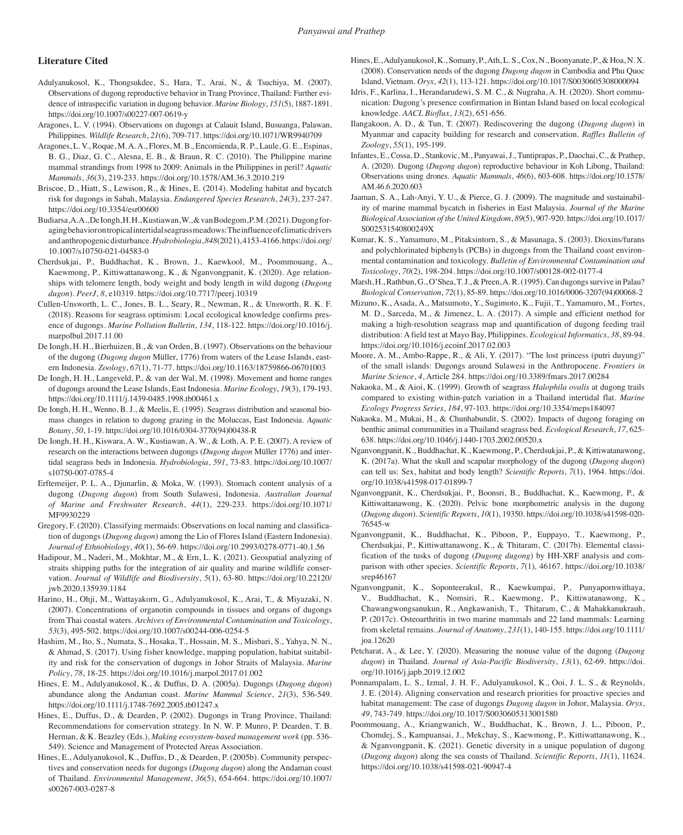#### **Literature Cited**

- Adulyanukosol, K., Thongsukdee, S., Hara, T., Arai, N., & Tsuchiya, M. (2007). Observations of dugong reproductive behavior in Trang Province, Thailand: Further evidence of intraspecific variation in dugong behavior. *Marine Biology*, *151*(5), 1887-1891. https://doi.org/10.1007/s00227-007-0619-y
- Aragones, L. V. (1994). Observations on dugongs at Calauit Island, Busuanga, Palawan, Philippines. *Wildlife Research*, *21*(6), 709-717. https://doi.org/10.1071/WR9940709
- Aragones, L. V., Roque, M. A. A., Flores, M. B., Encomienda, R. P., Laule, G. E., Espinas, B. G., Diaz, G. C., Alesna, E. B., & Braun, R. C. (2010). The Philippine marine mammal strandings from 1998 to 2009: Animals in the Philippines in peril? *Aquatic Mammals*, *36*(3), 219-233. https://doi.org/10.1578/AM.36.3.2010.219
- Briscoe, D., Hiatt, S., Lewison, R., & Hines, E. (2014). Modeling habitat and bycatch risk for dugongs in Sabah, Malaysia. *Endangered Species Research*, *24*(3), 237-247. https://doi.org/10.3354/esr00600
- Budiarsa, A. A., De Iongh, H. H., Kustiawan, W., & vanBodegom, P. M. (2021). Dugong foraging behavior on tropical intertidal seagrass meadows: The influence of climatic drivers and anthropogenic disturbance. *Hydrobiologia*, *848*(2021), 4153-4166. https://doi.org/ 10.1007/s10750-021-04583-0
- Cherdsukjai, P., Buddhachat, K., Brown, J., Kaewkool, M., Poommouang, A., Kaewmong, P., Kittiwattanawong, K., & Nganvongpanit, K. (2020). Age relationships with telomere length, body weight and body length in wild dugong (*Dugong dugon*). *PeerJ*, *8*, e10319. https://doi.org/10.7717/peerj.10319
- Cullen-Unsworth, L. C., Jones, B. L., Seary, R., Newman, R., & Unsworth, R. K. F. (2018). Reasons for seagrass optimism: Local ecological knowledge confirms presence of dugongs. *Marine Pollution Bulletin*, *134*, 118-122. https://doi.org/10.1016/j. marpolbul.2017.11.00
- De Iongh, H. H., Bierhuizen, B., & van Orden, B. (1997). Observations on the behaviour of the dugong (*Dugong dugon* Müller, 1776) from waters of the Lease Islands, eastern Indonesia. *Zoology*, *67*(1), 71-77. https://doi.org/10.1163/18759866-06701003
- De Iongh, H. H., Langeveld, P., & van der Wal, M. (1998). Movement and home ranges of dugongs around the Lease Islands, East Indonesia. *Marine Ecology*, *19*(3), 179-193. https://doi.org/10.1111/j.1439-0485.1998.tb00461.x
- De Iongh, H. H., Wenno, B. J., & Meelis, E. (1995). Seagrass distribution and seasonal biomass changes in relation to dugong grazing in the Moluccas, East Indonesia. *Aquatic Botany*, *50*, 1-19. https://doi.org/10.1016/0304-3770(94)00438-R
- De Iongh, H. H., Kiswara, A. W., Kustiawan, A. W., & Loth, A. P. E. (2007). A review of research on the interactions between dugongs (*Dugong dugon* Müller 1776) and intertidal seagrass beds in Indonesia. *Hydrobiologia*, *591*, 73-83. https://doi.org/10.1007/ s10750-007-0785-4
- Erftemeijer, P. L. A., Djunarlin, & Moka, W. (1993). Stomach content analysis of a dugong (*Dugong dugon*) from South Sulawesi, Indonesia. *Australian Journal of Marine and Freshwater Research*, *44*(1), 229-233. https://doi.org/10.1071/ MF9930229
- Gregory, F. (2020). Classifying mermaids: Observations on local naming and classification of dugongs (*Dugong dugon*) among the Lio of Flores Island (Eastern Indonesia). *Journal of Ethnobiology*, *40*(1), 56-69. https://doi.org/10.2993/0278-0771-40.1.56
- Hadipour, M., Naderi, M., Mokhtar, M., & Ern, L. K. (2021). Geospatial analyzing of straits shipping paths for the integration of air quality and marine wildlife conservation. *Journal of Wildlife and Biodiversity*, *5*(1), 63-80. https://doi.org/10.22120/ jwb.2020.135939.1184
- Harino, H., Ohji, M., Wattayakorn, G., Adulyanukosol, K., Arai, T., & Miyazaki, N. (2007). Concentrations of organotin compounds in tissues and organs of dugongs from Thai coastal waters. *Archives of Environmental Contamination and Toxicology*, *53*(3), 495-502. https://doi.org/10.1007/s00244-006-0254-5
- Hashim, M., Ito, S., Numata, S., Hosaka, T., Hossain, M. S., Misbari, S., Yahya, N. N., & Ahmad, S. (2017). Using fisher knowledge, mapping population, habitat suitability and risk for the conservation of dugongs in Johor Straits of Malaysia. *Marine Policy*, *78*, 18-25. https://doi.org/10.1016/j.marpol.2017.01.002
- Hines, E. M., Adulyanukosol, K., & Duffus, D. A. (2005a). Dugongs (*Dugong dugon*) abundance along the Andaman coast. *Marine Mammal Science*, *21*(3), 536-549. https://doi.org/10.1111/j.1748-7692.2005.tb01247.x
- Hines, E., Duffus, D., & Dearden, P. (2002). Dugongs in Trang Province, Thailand: Recommendations for conservation strategy. In N. W. P. Munro, P. Dearden, T. B. Herman, & K. Beazley (Eds.), *Making ecosystem-based management work* (pp. 536- 549). Science and Management of Protected Areas Association.
- Hines, E., Adulyanukosol, K., Duffus, D., & Dearden, P. (2005b). Community perspectives and conservation needs for dugongs (*Dugong dugon*) along the Andaman coast of Thailand. *Environmental Management*, *36*(5), 654-664. https://doi.org/10.1007/ s00267-003-0287-8
- Hines, E., Adulyanukosol, K., Somany, P., Ath, L. S., Cox, N., Boonyanate, P., & Hoa, N. X. (2008). Conservation needs of the dugong *Dugong dugon* in Cambodia and Phu Quoc Island, Vietnam. *Oryx*, *42*(1), 113-121. https://doi.org/10.1017/S0030605308000094
- Idris, F., Karlina, I., Herandarudewi, S. M. C., & Nugraha, A. H. (2020). Short communication: Dugong's presence confirmation in Bintan Island based on local ecological knowledge. *AACL Bioflux*, *13*(2), 651-656.
- Ilangakoon, A. D., & Tun, T. (2007). Rediscovering the dugong (*Dugong dugon*) in Myanmar and capacity building for research and conservation. *Raffles Bulletin of Zoology*, *55*(1), 195-199.
- Infantes, E., Cossa, D., Stankovic, M., Panyawai, J., Tuntiprapas, P., Daochai, C., & Prathep, A. (2020). Dugong (*Dugong dugon*) reproductive behaviour in Koh Libong, Thailand: Observations using drones. *Aquatic Mammals*, *46*(6), 603-608. https://doi.org/10.1578/ AM.46.6.2020.603
- Jaaman, S. A., Lah-Anyi, Y. U., & Pierce, G. J. (2009). The magnitude and sustainability of marine mammal bycatch in fisheries in East Malaysia. *Journal of the Marine Biological Association of the United Kingdom*, *89*(5), 907-920. https://doi.org/10.1017/ S002531540800249X
- Kumar, K. S., Yamamuro, M., Pitaksintorn, S., & Masunaga, S. (2003). Dioxins/furans and polychlorinated biphenyls (PCBs) in dugongs from the Thailand coast environmental contamination and toxicology. *Bulletin of Environmental Contamination and Toxicology*, *70*(2), 198-204. https://doi.org/10.1007/s00128-002-0177-4
- Marsh, H., Rathbun, G., O'Shea, T. J., & Preen, A. R. (1995). Can dugongs survive in Palau? *Biological Conservation*, *72*(1), 85-89. https://doi.org/10.1016/0006-3207(94)00068-2
- Mizuno, K., Asada, A., Matsumoto, Y., Sugimoto, K., Fujii, T., Yamamuro, M., Fortes, M. D., Sarceda, M., & Jimenez, L. A. (2017). A simple and efficient method for making a high-resolution seagrass map and quantification of dugong feeding trail distribution: A field test at Mayo Bay, Philippines. *Ecological Informatics*, *38*, 89-94. https://doi.org/10.1016/j.ecoinf.2017.02.003
- Moore, A. M., Ambo-Rappe, R., & Ali, Y. (2017). "The lost princess (putri duyung)" of the small islands: Dugongs around Sulawesi in the Anthropocene. *Frontiers in Marine Science*, *4*, Article 284. https://doi.org/10.3389/fmars.2017.00284
- Nakaoka, M., & Aioi, K. (1999). Growth of seagrass *Halophila ovalis* at dugong trails compared to existing within-patch variation in a Thailand intertidal flat. *Marine Ecology Progress Series*, *184*, 97-103. https://doi.org/10.3354/meps184097
- Nakaoka, M., Mukai, H., & Chunhabundit, S. (2002). Impacts of dugong foraging on benthic animal communities in a Thailand seagrass bed. *Ecological Research*, *17*, 625- 638. https://doi.org/10.1046/j.1440-1703.2002.00520.x
- Nganvongpanit, K., Buddhachat, K., Kaewmong, P., Cherdsukjai, P., & Kittiwatanawong, K. (2017a). What the skull and scapular morphology of the dugong (*Dugong dugon*) can tell us: Sex, habitat and body length? *Scientific Reports*, *7*(1), 1964. https://doi. org/10.1038/s41598-017-01899-7
- Nganvongpanit, K., Cherdsukjai, P., Boonsri, B., Buddhachat, K., Kaewmong, P., & Kittiwattanawong, K. (2020). Pelvic bone morphometric analysis in the dugong (*Dugong dugon*). *Scientific Reports*, *10*(1), 19350. https://doi.org/10.1038/s41598-020- 76545-w
- Nganvongpanit, K., Buddhachat, K., Piboon, P., Euppayo, T., Kaewmong, P., Cherdsukjai, P., Kittiwattanawong, K., & Thitaram, C. (2017b). Elemental classification of the tusks of dugong (*Dugong dugong*) by HH-XRF analysis and comparison with other species. *Scientific Reports*, *7*(1)*,* 46167*.* https://doi.org/10.1038/ srep46167
- Nganvongpanit, K., Soponteerakul, R., Kaewkumpai, P., Punyapornwithaya, V., Buddhachat, K., Nomsiri, R., Kaewmong, P., Kittiwatanawong, K., Chawangwongsanukun, R., Angkawanish, T., Thitaram, C., & Mahakkanukrauh, P. (2017c). Osteoarthritis in two marine mammals and 22 land mammals: Learning from skeletal remains. *Journal of Anatomy*, *231*(1), 140-155. https://doi.org/10.1111/ joa.12620
- Petcharat, A., & Lee, Y. (2020). Measuring the nonuse value of the dugong (*Dugong dugon*) in Thailand. *Journal of Asia-Pacific Biodiversity*, *13*(1), 62-69. https://doi. org/10.1016/j.japb.2019.12.002
- Ponnampalam, L. S., Izmal, J. H. F., Adulyanukosol, K., Ooi, J. L. S., & Reynolds, J. E. (2014). Aligning conservation and research priorities for proactive species and habitat management: The case of dugongs *Dugong dugon* in Johor, Malaysia. *Oryx*, *49*, 743-749. https://doi.org/10.1017/S0030605313001580
- Poommouang, A., Kriangwanich, W., Buddhachat, K., Brown, J. L., Piboon, P., Chomdej, S., Kampuansai, J., Mekchay, S., Kaewmong, P., Kittiwattanawong, K., & Nganvongpanit, K. (2021). Genetic diversity in a unique population of dugong (*Dugong dugon*) along the sea coasts of Thailand. *Scientific Reports*, *11*(1), 11624. https://doi.org/10.1038/s41598-021-90947-4